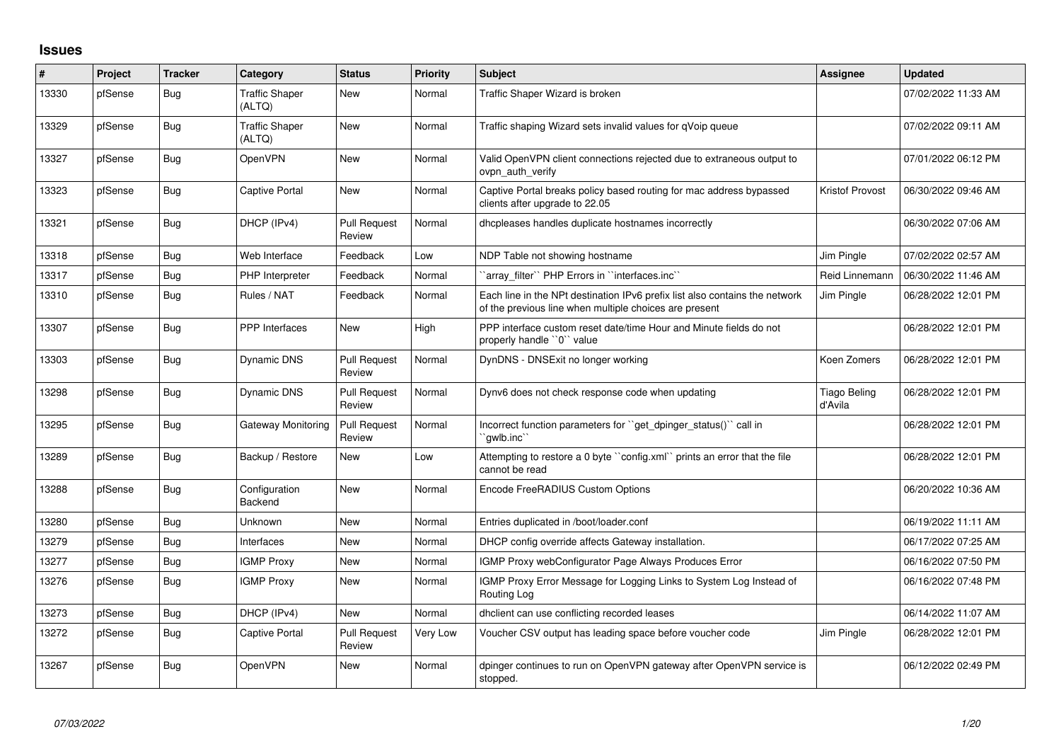## **Issues**

| #     | Project | <b>Tracker</b> | Category                        | <b>Status</b>                 | <b>Priority</b> | <b>Subject</b>                                                                                                                        | <b>Assignee</b>                | <b>Updated</b>      |
|-------|---------|----------------|---------------------------------|-------------------------------|-----------------|---------------------------------------------------------------------------------------------------------------------------------------|--------------------------------|---------------------|
| 13330 | pfSense | Bug            | <b>Traffic Shaper</b><br>(ALTQ) | New                           | Normal          | Traffic Shaper Wizard is broken                                                                                                       |                                | 07/02/2022 11:33 AM |
| 13329 | pfSense | Bug            | <b>Traffic Shaper</b><br>(ALTQ) | New                           | Normal          | Traffic shaping Wizard sets invalid values for qVoip queue                                                                            |                                | 07/02/2022 09:11 AM |
| 13327 | pfSense | Bug            | OpenVPN                         | New                           | Normal          | Valid OpenVPN client connections rejected due to extraneous output to<br>ovpn auth verify                                             |                                | 07/01/2022 06:12 PM |
| 13323 | pfSense | Bug            | Captive Portal                  | <b>New</b>                    | Normal          | Captive Portal breaks policy based routing for mac address bypassed<br>clients after upgrade to 22.05                                 | <b>Kristof Provost</b>         | 06/30/2022 09:46 AM |
| 13321 | pfSense | <b>Bug</b>     | DHCP (IPv4)                     | <b>Pull Request</b><br>Review | Normal          | dhcpleases handles duplicate hostnames incorrectly                                                                                    |                                | 06/30/2022 07:06 AM |
| 13318 | pfSense | <b>Bug</b>     | Web Interface                   | Feedback                      | Low             | NDP Table not showing hostname                                                                                                        | Jim Pingle                     | 07/02/2022 02:57 AM |
| 13317 | pfSense | Bug            | PHP Interpreter                 | Feedback                      | Normal          | `array filter`` PHP Errors in ``interfaces.inc``                                                                                      | Reid Linnemann                 | 06/30/2022 11:46 AM |
| 13310 | pfSense | <b>Bug</b>     | Rules / NAT                     | Feedback                      | Normal          | Each line in the NPt destination IPv6 prefix list also contains the network<br>of the previous line when multiple choices are present | Jim Pingle                     | 06/28/2022 12:01 PM |
| 13307 | pfSense | Bug            | <b>PPP</b> Interfaces           | New                           | High            | PPP interface custom reset date/time Hour and Minute fields do not<br>properly handle "0" value                                       |                                | 06/28/2022 12:01 PM |
| 13303 | pfSense | Bug            | Dynamic DNS                     | <b>Pull Request</b><br>Review | Normal          | DynDNS - DNSExit no longer working                                                                                                    | Koen Zomers                    | 06/28/2022 12:01 PM |
| 13298 | pfSense | Bug            | Dynamic DNS                     | <b>Pull Request</b><br>Review | Normal          | Dynv6 does not check response code when updating                                                                                      | <b>Tiago Beling</b><br>d'Avila | 06/28/2022 12:01 PM |
| 13295 | pfSense | Bug            | Gateway Monitoring              | Pull Request<br>Review        | Normal          | Incorrect function parameters for "get dpinger status()" call in<br>`qwlb.inc`                                                        |                                | 06/28/2022 12:01 PM |
| 13289 | pfSense | Bug            | Backup / Restore                | New                           | Low             | Attempting to restore a 0 byte "config.xml" prints an error that the file<br>cannot be read                                           |                                | 06/28/2022 12:01 PM |
| 13288 | pfSense | Bug            | Configuration<br>Backend        | <b>New</b>                    | Normal          | Encode FreeRADIUS Custom Options                                                                                                      |                                | 06/20/2022 10:36 AM |
| 13280 | pfSense | <b>Bug</b>     | Unknown                         | New                           | Normal          | Entries duplicated in /boot/loader.conf                                                                                               |                                | 06/19/2022 11:11 AM |
| 13279 | pfSense | Bug            | Interfaces                      | <b>New</b>                    | Normal          | DHCP config override affects Gateway installation.                                                                                    |                                | 06/17/2022 07:25 AM |
| 13277 | pfSense | Bug            | <b>IGMP Proxy</b>               | New                           | Normal          | IGMP Proxy webConfigurator Page Always Produces Error                                                                                 |                                | 06/16/2022 07:50 PM |
| 13276 | pfSense | Bug            | <b>IGMP Proxy</b>               | New                           | Normal          | IGMP Proxy Error Message for Logging Links to System Log Instead of<br>Routing Log                                                    |                                | 06/16/2022 07:48 PM |
| 13273 | pfSense | <b>Bug</b>     | DHCP (IPv4)                     | New                           | Normal          | dhclient can use conflicting recorded leases                                                                                          |                                | 06/14/2022 11:07 AM |
| 13272 | pfSense | <b>Bug</b>     | Captive Portal                  | <b>Pull Request</b><br>Review | Very Low        | Voucher CSV output has leading space before voucher code                                                                              | Jim Pingle                     | 06/28/2022 12:01 PM |
| 13267 | pfSense | Bug            | OpenVPN                         | New                           | Normal          | dpinger continues to run on OpenVPN gateway after OpenVPN service is<br>stopped.                                                      |                                | 06/12/2022 02:49 PM |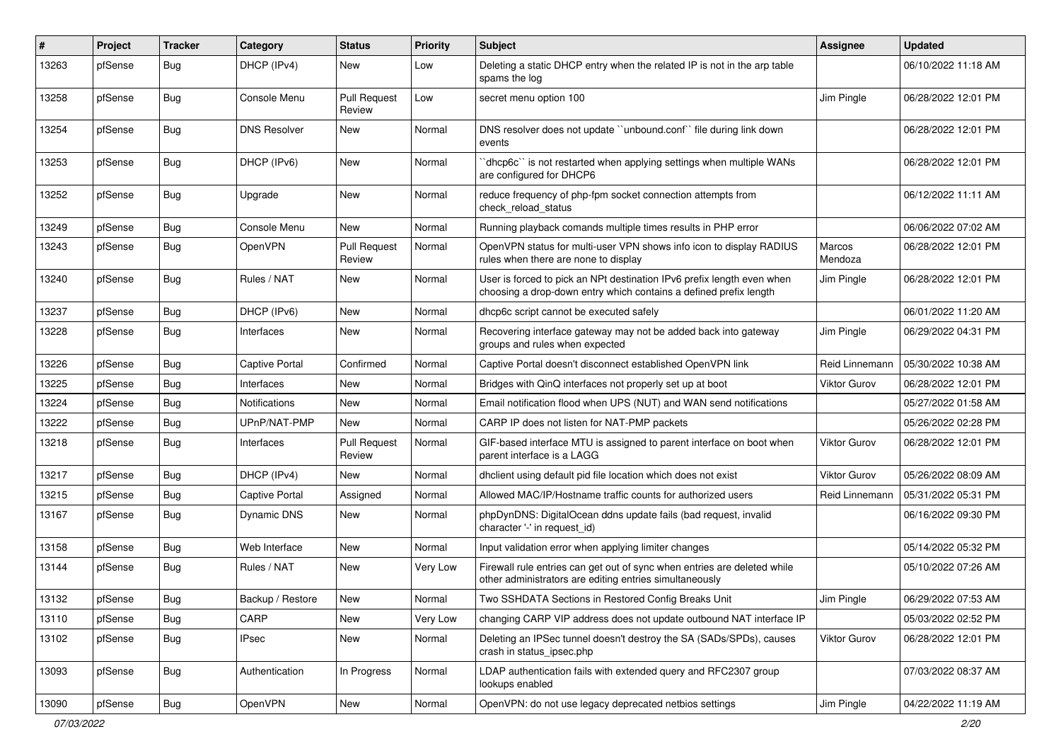| $\#$  | Project | <b>Tracker</b> | Category            | <b>Status</b>                 | <b>Priority</b> | <b>Subject</b>                                                                                                                              | <b>Assignee</b>     | <b>Updated</b>      |
|-------|---------|----------------|---------------------|-------------------------------|-----------------|---------------------------------------------------------------------------------------------------------------------------------------------|---------------------|---------------------|
| 13263 | pfSense | Bug            | DHCP (IPv4)         | New                           | Low             | Deleting a static DHCP entry when the related IP is not in the arp table<br>spams the log                                                   |                     | 06/10/2022 11:18 AM |
| 13258 | pfSense | <b>Bug</b>     | Console Menu        | <b>Pull Request</b><br>Review | Low             | secret menu option 100                                                                                                                      | Jim Pingle          | 06/28/2022 12:01 PM |
| 13254 | pfSense | <b>Bug</b>     | <b>DNS Resolver</b> | New                           | Normal          | DNS resolver does not update "unbound.conf" file during link down<br>events                                                                 |                     | 06/28/2022 12:01 PM |
| 13253 | pfSense | <b>Bug</b>     | DHCP (IPv6)         | New                           | Normal          | dhcp6c" is not restarted when applying settings when multiple WANs<br>are configured for DHCP6                                              |                     | 06/28/2022 12:01 PM |
| 13252 | pfSense | Bug            | Upgrade             | New                           | Normal          | reduce frequency of php-fpm socket connection attempts from<br>check reload status                                                          |                     | 06/12/2022 11:11 AM |
| 13249 | pfSense | <b>Bug</b>     | Console Menu        | New                           | Normal          | Running playback comands multiple times results in PHP error                                                                                |                     | 06/06/2022 07:02 AM |
| 13243 | pfSense | <b>Bug</b>     | OpenVPN             | <b>Pull Request</b><br>Review | Normal          | OpenVPN status for multi-user VPN shows info icon to display RADIUS<br>rules when there are none to display                                 | Marcos<br>Mendoza   | 06/28/2022 12:01 PM |
| 13240 | pfSense | <b>Bug</b>     | Rules / NAT         | New                           | Normal          | User is forced to pick an NPt destination IPv6 prefix length even when<br>choosing a drop-down entry which contains a defined prefix length | Jim Pingle          | 06/28/2022 12:01 PM |
| 13237 | pfSense | Bug            | DHCP (IPv6)         | New                           | Normal          | dhcp6c script cannot be executed safely                                                                                                     |                     | 06/01/2022 11:20 AM |
| 13228 | pfSense | <b>Bug</b>     | Interfaces          | New                           | Normal          | Recovering interface gateway may not be added back into gateway<br>groups and rules when expected                                           | Jim Pingle          | 06/29/2022 04:31 PM |
| 13226 | pfSense | <b>Bug</b>     | Captive Portal      | Confirmed                     | Normal          | Captive Portal doesn't disconnect established OpenVPN link                                                                                  | Reid Linnemann      | 05/30/2022 10:38 AM |
| 13225 | pfSense | <b>Bug</b>     | Interfaces          | New                           | Normal          | Bridges with QinQ interfaces not properly set up at boot                                                                                    | <b>Viktor Gurov</b> | 06/28/2022 12:01 PM |
| 13224 | pfSense | <b>Bug</b>     | Notifications       | New                           | Normal          | Email notification flood when UPS (NUT) and WAN send notifications                                                                          |                     | 05/27/2022 01:58 AM |
| 13222 | pfSense | Bug            | UPnP/NAT-PMP        | New                           | Normal          | CARP IP does not listen for NAT-PMP packets                                                                                                 |                     | 05/26/2022 02:28 PM |
| 13218 | pfSense | Bug            | Interfaces          | <b>Pull Request</b><br>Review | Normal          | GIF-based interface MTU is assigned to parent interface on boot when<br>parent interface is a LAGG                                          | <b>Viktor Gurov</b> | 06/28/2022 12:01 PM |
| 13217 | pfSense | <b>Bug</b>     | DHCP (IPv4)         | <b>New</b>                    | Normal          | dhclient using default pid file location which does not exist                                                                               | <b>Viktor Gurov</b> | 05/26/2022 08:09 AM |
| 13215 | pfSense | Bug            | Captive Portal      | Assigned                      | Normal          | Allowed MAC/IP/Hostname traffic counts for authorized users                                                                                 | Reid Linnemann      | 05/31/2022 05:31 PM |
| 13167 | pfSense | <b>Bug</b>     | <b>Dynamic DNS</b>  | <b>New</b>                    | Normal          | phpDynDNS: DigitalOcean ddns update fails (bad request, invalid<br>character '-' in request id)                                             |                     | 06/16/2022 09:30 PM |
| 13158 | pfSense | <b>Bug</b>     | Web Interface       | <b>New</b>                    | Normal          | Input validation error when applying limiter changes                                                                                        |                     | 05/14/2022 05:32 PM |
| 13144 | pfSense | Bug            | Rules / NAT         | New                           | Very Low        | Firewall rule entries can get out of sync when entries are deleted while<br>other administrators are editing entries simultaneously         |                     | 05/10/2022 07:26 AM |
| 13132 | pfSense | Bug            | Backup / Restore    | New                           | Normal          | Two SSHDATA Sections in Restored Config Breaks Unit                                                                                         | Jim Pingle          | 06/29/2022 07:53 AM |
| 13110 | pfSense | Bug            | CARP                | New                           | Very Low        | changing CARP VIP address does not update outbound NAT interface IP                                                                         |                     | 05/03/2022 02:52 PM |
| 13102 | pfSense | <b>Bug</b>     | <b>IPsec</b>        | New                           | Normal          | Deleting an IPSec tunnel doesn't destroy the SA (SADs/SPDs), causes<br>crash in status_ipsec.php                                            | Viktor Gurov        | 06/28/2022 12:01 PM |
| 13093 | pfSense | <b>Bug</b>     | Authentication      | In Progress                   | Normal          | LDAP authentication fails with extended query and RFC2307 group<br>lookups enabled                                                          |                     | 07/03/2022 08:37 AM |
| 13090 | pfSense | Bug            | OpenVPN             | New                           | Normal          | OpenVPN: do not use legacy deprecated netbios settings                                                                                      | Jim Pingle          | 04/22/2022 11:19 AM |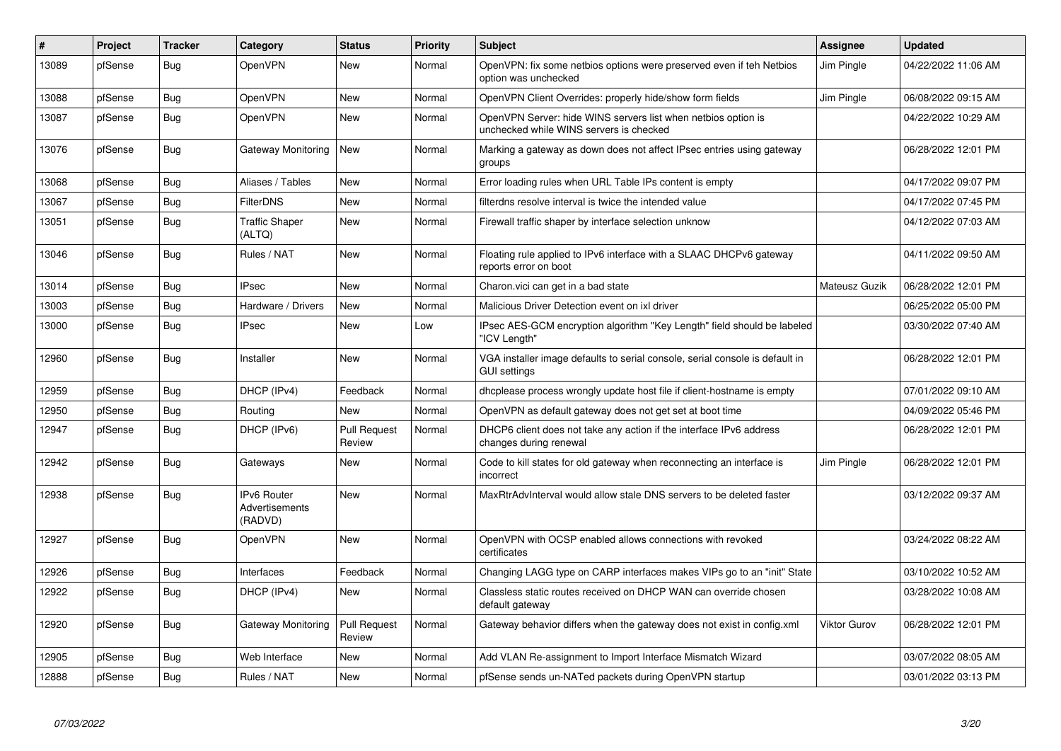| #     | Project | <b>Tracker</b> | Category                                               | <b>Status</b>                 | Priority | <b>Subject</b>                                                                                           | <b>Assignee</b> | <b>Updated</b>      |
|-------|---------|----------------|--------------------------------------------------------|-------------------------------|----------|----------------------------------------------------------------------------------------------------------|-----------------|---------------------|
| 13089 | pfSense | Bug            | OpenVPN                                                | New                           | Normal   | OpenVPN: fix some netbios options were preserved even if teh Netbios<br>option was unchecked             | Jim Pingle      | 04/22/2022 11:06 AM |
| 13088 | pfSense | Bug            | OpenVPN                                                | <b>New</b>                    | Normal   | OpenVPN Client Overrides: properly hide/show form fields                                                 | Jim Pingle      | 06/08/2022 09:15 AM |
| 13087 | pfSense | <b>Bug</b>     | OpenVPN                                                | <b>New</b>                    | Normal   | OpenVPN Server: hide WINS servers list when netbios option is<br>unchecked while WINS servers is checked |                 | 04/22/2022 10:29 AM |
| 13076 | pfSense | <b>Bug</b>     | Gateway Monitoring                                     | New                           | Normal   | Marking a gateway as down does not affect IPsec entries using gateway<br>groups                          |                 | 06/28/2022 12:01 PM |
| 13068 | pfSense | <b>Bug</b>     | Aliases / Tables                                       | New                           | Normal   | Error loading rules when URL Table IPs content is empty                                                  |                 | 04/17/2022 09:07 PM |
| 13067 | pfSense | Bug            | <b>FilterDNS</b>                                       | New                           | Normal   | filterdns resolve interval is twice the intended value                                                   |                 | 04/17/2022 07:45 PM |
| 13051 | pfSense | <b>Bug</b>     | <b>Traffic Shaper</b><br>(ALTQ)                        | <b>New</b>                    | Normal   | Firewall traffic shaper by interface selection unknow                                                    |                 | 04/12/2022 07:03 AM |
| 13046 | pfSense | <b>Bug</b>     | Rules / NAT                                            | New                           | Normal   | Floating rule applied to IPv6 interface with a SLAAC DHCPv6 gateway<br>reports error on boot             |                 | 04/11/2022 09:50 AM |
| 13014 | pfSense | Bug            | <b>IPsec</b>                                           | <b>New</b>                    | Normal   | Charon.vici can get in a bad state                                                                       | Mateusz Guzik   | 06/28/2022 12:01 PM |
| 13003 | pfSense | <b>Bug</b>     | Hardware / Drivers                                     | <b>New</b>                    | Normal   | Malicious Driver Detection event on ixl driver                                                           |                 | 06/25/2022 05:00 PM |
| 13000 | pfSense | Bug            | <b>IPsec</b>                                           | New                           | Low      | IPsec AES-GCM encryption algorithm "Key Length" field should be labeled<br>'ICV Length"                  |                 | 03/30/2022 07:40 AM |
| 12960 | pfSense | Bug            | Installer                                              | <b>New</b>                    | Normal   | VGA installer image defaults to serial console, serial console is default in<br><b>GUI settings</b>      |                 | 06/28/2022 12:01 PM |
| 12959 | pfSense | <b>Bug</b>     | DHCP (IPv4)                                            | Feedback                      | Normal   | dhoplease process wrongly update host file if client-hostname is empty                                   |                 | 07/01/2022 09:10 AM |
| 12950 | pfSense | Bug            | Routing                                                | <b>New</b>                    | Normal   | OpenVPN as default gateway does not get set at boot time                                                 |                 | 04/09/2022 05:46 PM |
| 12947 | pfSense | <b>Bug</b>     | DHCP (IPv6)                                            | <b>Pull Request</b><br>Review | Normal   | DHCP6 client does not take any action if the interface IPv6 address<br>changes during renewal            |                 | 06/28/2022 12:01 PM |
| 12942 | pfSense | <b>Bug</b>     | Gateways                                               | <b>New</b>                    | Normal   | Code to kill states for old gateway when reconnecting an interface is<br>incorrect                       | Jim Pingle      | 06/28/2022 12:01 PM |
| 12938 | pfSense | <b>Bug</b>     | <b>IPv6 Router</b><br><b>Advertisements</b><br>(RADVD) | <b>New</b>                    | Normal   | MaxRtrAdvInterval would allow stale DNS servers to be deleted faster                                     |                 | 03/12/2022 09:37 AM |
| 12927 | pfSense | Bug            | OpenVPN                                                | New                           | Normal   | OpenVPN with OCSP enabled allows connections with revoked<br>certificates                                |                 | 03/24/2022 08:22 AM |
| 12926 | pfSense | Bug            | Interfaces                                             | Feedback                      | Normal   | Changing LAGG type on CARP interfaces makes VIPs go to an "init" State                                   |                 | 03/10/2022 10:52 AM |
| 12922 | pfSense | <b>Bug</b>     | DHCP (IPv4)                                            | <b>New</b>                    | Normal   | Classless static routes received on DHCP WAN can override chosen<br>default gateway                      |                 | 03/28/2022 10:08 AM |
| 12920 | pfSense | <b>Bug</b>     | Gateway Monitoring                                     | <b>Pull Request</b><br>Review | Normal   | Gateway behavior differs when the gateway does not exist in config.xml                                   | Viktor Gurov    | 06/28/2022 12:01 PM |
| 12905 | pfSense | Bug            | Web Interface                                          | <b>New</b>                    | Normal   | Add VLAN Re-assignment to Import Interface Mismatch Wizard                                               |                 | 03/07/2022 08:05 AM |
| 12888 | pfSense | <b>Bug</b>     | Rules / NAT                                            | <b>New</b>                    | Normal   | pfSense sends un-NATed packets during OpenVPN startup                                                    |                 | 03/01/2022 03:13 PM |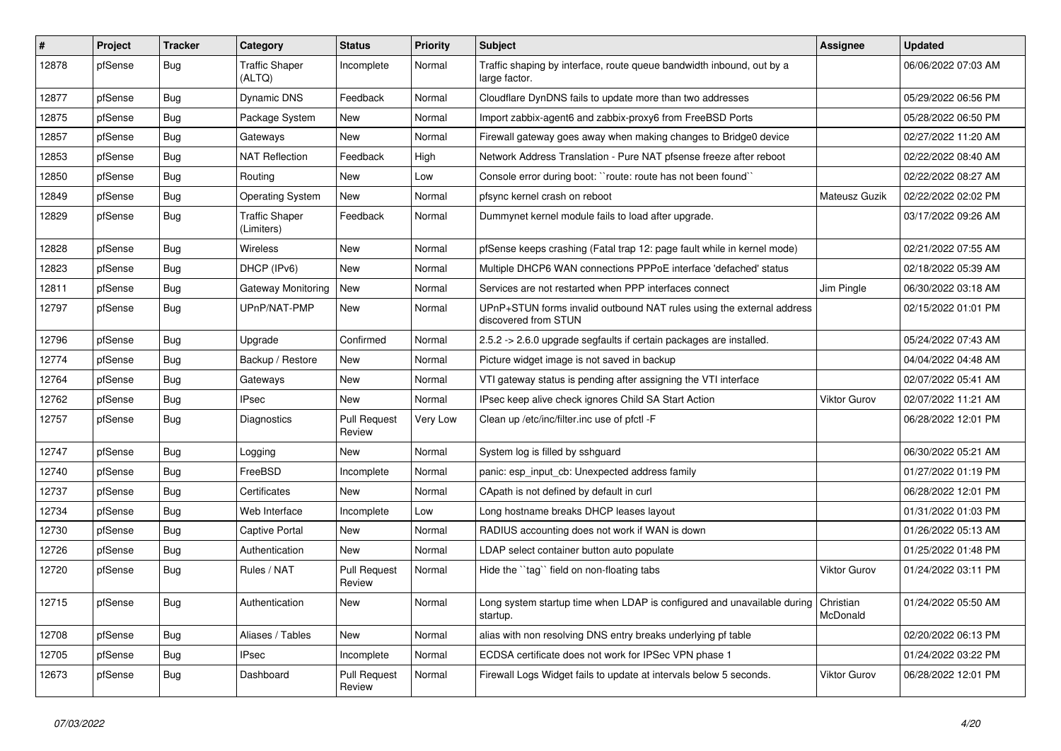| $\vert$ # | Project | <b>Tracker</b> | Category                            | <b>Status</b>                 | <b>Priority</b> | Subject                                                                                       | <b>Assignee</b>     | <b>Updated</b>      |
|-----------|---------|----------------|-------------------------------------|-------------------------------|-----------------|-----------------------------------------------------------------------------------------------|---------------------|---------------------|
| 12878     | pfSense | <b>Bug</b>     | <b>Traffic Shaper</b><br>(ALTQ)     | Incomplete                    | Normal          | Traffic shaping by interface, route queue bandwidth inbound, out by a<br>large factor.        |                     | 06/06/2022 07:03 AM |
| 12877     | pfSense | Bug            | Dynamic DNS                         | Feedback                      | Normal          | Cloudflare DynDNS fails to update more than two addresses                                     |                     | 05/29/2022 06:56 PM |
| 12875     | pfSense | <b>Bug</b>     | Package System                      | New                           | Normal          | Import zabbix-agent6 and zabbix-proxy6 from FreeBSD Ports                                     |                     | 05/28/2022 06:50 PM |
| 12857     | pfSense | <b>Bug</b>     | Gateways                            | New                           | Normal          | Firewall gateway goes away when making changes to Bridge0 device                              |                     | 02/27/2022 11:20 AM |
| 12853     | pfSense | <b>Bug</b>     | <b>NAT Reflection</b>               | Feedback                      | High            | Network Address Translation - Pure NAT pfsense freeze after reboot                            |                     | 02/22/2022 08:40 AM |
| 12850     | pfSense | <b>Bug</b>     | Routing                             | New                           | Low             | Console error during boot: "route: route has not been found"                                  |                     | 02/22/2022 08:27 AM |
| 12849     | pfSense | Bug            | <b>Operating System</b>             | <b>New</b>                    | Normal          | pfsync kernel crash on reboot                                                                 | Mateusz Guzik       | 02/22/2022 02:02 PM |
| 12829     | pfSense | <b>Bug</b>     | <b>Traffic Shaper</b><br>(Limiters) | Feedback                      | Normal          | Dummynet kernel module fails to load after upgrade.                                           |                     | 03/17/2022 09:26 AM |
| 12828     | pfSense | <b>Bug</b>     | Wireless                            | New                           | Normal          | pfSense keeps crashing (Fatal trap 12: page fault while in kernel mode)                       |                     | 02/21/2022 07:55 AM |
| 12823     | pfSense | <b>Bug</b>     | DHCP (IPv6)                         | New                           | Normal          | Multiple DHCP6 WAN connections PPPoE interface 'defached' status                              |                     | 02/18/2022 05:39 AM |
| 12811     | pfSense | <b>Bug</b>     | <b>Gateway Monitoring</b>           | <b>New</b>                    | Normal          | Services are not restarted when PPP interfaces connect                                        | Jim Pingle          | 06/30/2022 03:18 AM |
| 12797     | pfSense | <b>Bug</b>     | UPnP/NAT-PMP                        | New                           | Normal          | UPnP+STUN forms invalid outbound NAT rules using the external address<br>discovered from STUN |                     | 02/15/2022 01:01 PM |
| 12796     | pfSense | <b>Bug</b>     | Upgrade                             | Confirmed                     | Normal          | 2.5.2 -> 2.6.0 upgrade segfaults if certain packages are installed.                           |                     | 05/24/2022 07:43 AM |
| 12774     | pfSense | <b>Bug</b>     | Backup / Restore                    | New                           | Normal          | Picture widget image is not saved in backup                                                   |                     | 04/04/2022 04:48 AM |
| 12764     | pfSense | <b>Bug</b>     | Gateways                            | New                           | Normal          | VTI gateway status is pending after assigning the VTI interface                               |                     | 02/07/2022 05:41 AM |
| 12762     | pfSense | <b>Bug</b>     | <b>IPsec</b>                        | New                           | Normal          | IPsec keep alive check ignores Child SA Start Action                                          | Viktor Gurov        | 02/07/2022 11:21 AM |
| 12757     | pfSense | <b>Bug</b>     | Diagnostics                         | <b>Pull Request</b><br>Review | Very Low        | Clean up /etc/inc/filter.inc use of pfctl -F                                                  |                     | 06/28/2022 12:01 PM |
| 12747     | pfSense | <b>Bug</b>     | Logging                             | New                           | Normal          | System log is filled by sshguard                                                              |                     | 06/30/2022 05:21 AM |
| 12740     | pfSense | <b>Bug</b>     | FreeBSD                             | Incomplete                    | Normal          | panic: esp_input_cb: Unexpected address family                                                |                     | 01/27/2022 01:19 PM |
| 12737     | pfSense | Bug            | Certificates                        | <b>New</b>                    | Normal          | CApath is not defined by default in curl                                                      |                     | 06/28/2022 12:01 PM |
| 12734     | pfSense | <b>Bug</b>     | Web Interface                       | Incomplete                    | Low             | Long hostname breaks DHCP leases layout                                                       |                     | 01/31/2022 01:03 PM |
| 12730     | pfSense | <b>Bug</b>     | Captive Portal                      | New                           | Normal          | RADIUS accounting does not work if WAN is down                                                |                     | 01/26/2022 05:13 AM |
| 12726     | pfSense | <b>Bug</b>     | Authentication                      | New                           | Normal          | LDAP select container button auto populate                                                    |                     | 01/25/2022 01:48 PM |
| 12720     | pfSense | <b>Bug</b>     | Rules / NAT                         | Pull Request<br>Review        | Normal          | Hide the "tag" field on non-floating tabs                                                     | Viktor Gurov        | 01/24/2022 03:11 PM |
| 12715     | pfSense | Bug            | Authentication                      | New                           | Normal          | Long system startup time when LDAP is configured and unavailable during Christian<br>startup. | McDonald            | 01/24/2022 05:50 AM |
| 12708     | pfSense | <b>Bug</b>     | Aliases / Tables                    | <b>New</b>                    | Normal          | alias with non resolving DNS entry breaks underlying pf table                                 |                     | 02/20/2022 06:13 PM |
| 12705     | pfSense | <b>Bug</b>     | <b>IPsec</b>                        | Incomplete                    | Normal          | ECDSA certificate does not work for IPSec VPN phase 1                                         |                     | 01/24/2022 03:22 PM |
| 12673     | pfSense | <b>Bug</b>     | Dashboard                           | <b>Pull Request</b><br>Review | Normal          | Firewall Logs Widget fails to update at intervals below 5 seconds.                            | <b>Viktor Gurov</b> | 06/28/2022 12:01 PM |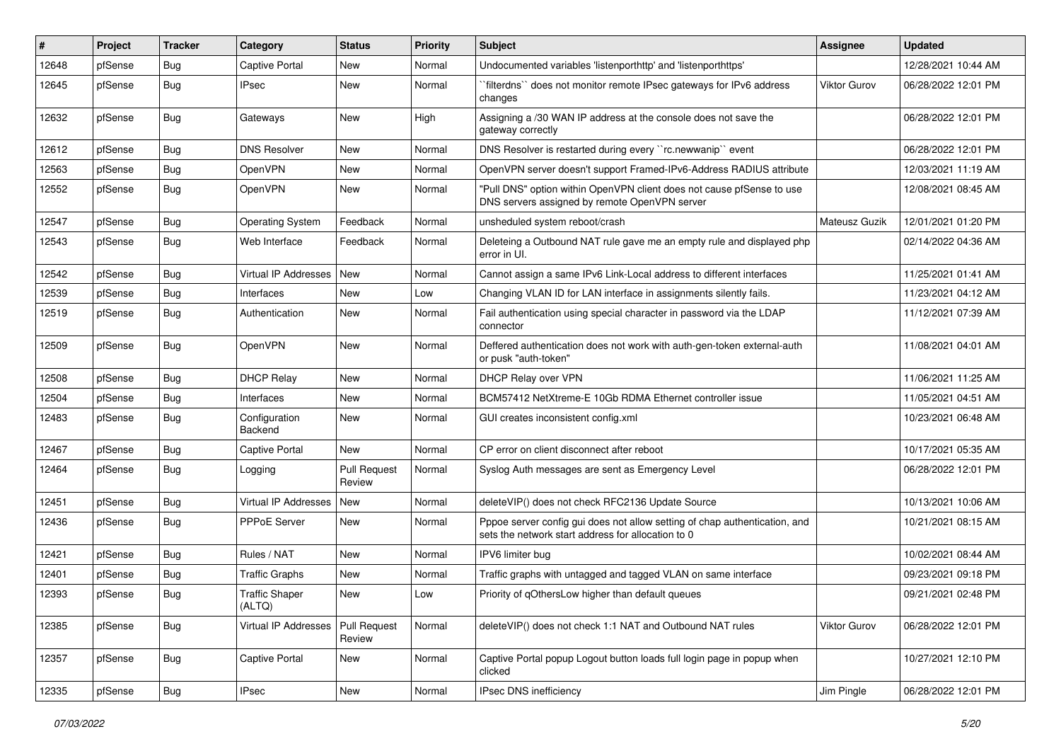| $\vert$ # | Project | <b>Tracker</b> | Category                        | <b>Status</b>                 | <b>Priority</b> | Subject                                                                                                                          | <b>Assignee</b>     | <b>Updated</b>      |
|-----------|---------|----------------|---------------------------------|-------------------------------|-----------------|----------------------------------------------------------------------------------------------------------------------------------|---------------------|---------------------|
| 12648     | pfSense | <b>Bug</b>     | Captive Portal                  | New                           | Normal          | Undocumented variables 'listenporthttp' and 'listenporthttps'                                                                    |                     | 12/28/2021 10:44 AM |
| 12645     | pfSense | <b>Bug</b>     | <b>IPsec</b>                    | New                           | Normal          | `filterdns`` does not monitor remote IPsec gateways for IPv6 address<br>changes                                                  | <b>Viktor Gurov</b> | 06/28/2022 12:01 PM |
| 12632     | pfSense | Bug            | Gateways                        | New                           | High            | Assigning a /30 WAN IP address at the console does not save the<br>gateway correctly                                             |                     | 06/28/2022 12:01 PM |
| 12612     | pfSense | <b>Bug</b>     | <b>DNS Resolver</b>             | New                           | Normal          | DNS Resolver is restarted during every "rc.newwanip" event                                                                       |                     | 06/28/2022 12:01 PM |
| 12563     | pfSense | <b>Bug</b>     | OpenVPN                         | New                           | Normal          | OpenVPN server doesn't support Framed-IPv6-Address RADIUS attribute                                                              |                     | 12/03/2021 11:19 AM |
| 12552     | pfSense | Bug            | OpenVPN                         | <b>New</b>                    | Normal          | "Pull DNS" option within OpenVPN client does not cause pfSense to use<br>DNS servers assigned by remote OpenVPN server           |                     | 12/08/2021 08:45 AM |
| 12547     | pfSense | <b>Bug</b>     | <b>Operating System</b>         | Feedback                      | Normal          | unsheduled system reboot/crash                                                                                                   | Mateusz Guzik       | 12/01/2021 01:20 PM |
| 12543     | pfSense | <b>Bug</b>     | Web Interface                   | Feedback                      | Normal          | Deleteing a Outbound NAT rule gave me an empty rule and displayed php<br>error in UI.                                            |                     | 02/14/2022 04:36 AM |
| 12542     | pfSense | Bug            | Virtual IP Addresses            | <b>New</b>                    | Normal          | Cannot assign a same IPv6 Link-Local address to different interfaces                                                             |                     | 11/25/2021 01:41 AM |
| 12539     | pfSense | <b>Bug</b>     | Interfaces                      | New                           | Low             | Changing VLAN ID for LAN interface in assignments silently fails.                                                                |                     | 11/23/2021 04:12 AM |
| 12519     | pfSense | <b>Bug</b>     | Authentication                  | New                           | Normal          | Fail authentication using special character in password via the LDAP<br>connector                                                |                     | 11/12/2021 07:39 AM |
| 12509     | pfSense | Bug            | OpenVPN                         | New                           | Normal          | Deffered authentication does not work with auth-gen-token external-auth<br>or pusk "auth-token"                                  |                     | 11/08/2021 04:01 AM |
| 12508     | pfSense | Bug            | <b>DHCP Relay</b>               | New                           | Normal          | DHCP Relay over VPN                                                                                                              |                     | 11/06/2021 11:25 AM |
| 12504     | pfSense | <b>Bug</b>     | Interfaces                      | <b>New</b>                    | Normal          | BCM57412 NetXtreme-E 10Gb RDMA Ethernet controller issue                                                                         |                     | 11/05/2021 04:51 AM |
| 12483     | pfSense | <b>Bug</b>     | Configuration<br>Backend        | New                           | Normal          | GUI creates inconsistent config.xml                                                                                              |                     | 10/23/2021 06:48 AM |
| 12467     | pfSense | Bug            | Captive Portal                  | <b>New</b>                    | Normal          | CP error on client disconnect after reboot                                                                                       |                     | 10/17/2021 05:35 AM |
| 12464     | pfSense | <b>Bug</b>     | Logging                         | <b>Pull Request</b><br>Review | Normal          | Syslog Auth messages are sent as Emergency Level                                                                                 |                     | 06/28/2022 12:01 PM |
| 12451     | pfSense | <b>Bug</b>     | Virtual IP Addresses            | New                           | Normal          | deleteVIP() does not check RFC2136 Update Source                                                                                 |                     | 10/13/2021 10:06 AM |
| 12436     | pfSense | Bug            | PPPoE Server                    | New                           | Normal          | Pppoe server config gui does not allow setting of chap authentication, and<br>sets the network start address for allocation to 0 |                     | 10/21/2021 08:15 AM |
| 12421     | pfSense | <b>Bug</b>     | Rules / NAT                     | <b>New</b>                    | Normal          | IPV6 limiter bug                                                                                                                 |                     | 10/02/2021 08:44 AM |
| 12401     | pfSense | Bug            | <b>Traffic Graphs</b>           | New                           | Normal          | Traffic graphs with untagged and tagged VLAN on same interface                                                                   |                     | 09/23/2021 09:18 PM |
| 12393     | pfSense | <b>Bug</b>     | <b>Traffic Shaper</b><br>(ALTQ) | New                           | Low             | Priority of qOthersLow higher than default queues                                                                                |                     | 09/21/2021 02:48 PM |
| 12385     | pfSense | Bug            | Virtual IP Addresses            | Pull Request<br>Review        | Normal          | deleteVIP() does not check 1:1 NAT and Outbound NAT rules                                                                        | Viktor Gurov        | 06/28/2022 12:01 PM |
| 12357     | pfSense | <b>Bug</b>     | Captive Portal                  | New                           | Normal          | Captive Portal popup Logout button loads full login page in popup when<br>clicked                                                |                     | 10/27/2021 12:10 PM |
| 12335     | pfSense | <b>Bug</b>     | <b>IPsec</b>                    | New                           | Normal          | IPsec DNS inefficiency                                                                                                           | Jim Pingle          | 06/28/2022 12:01 PM |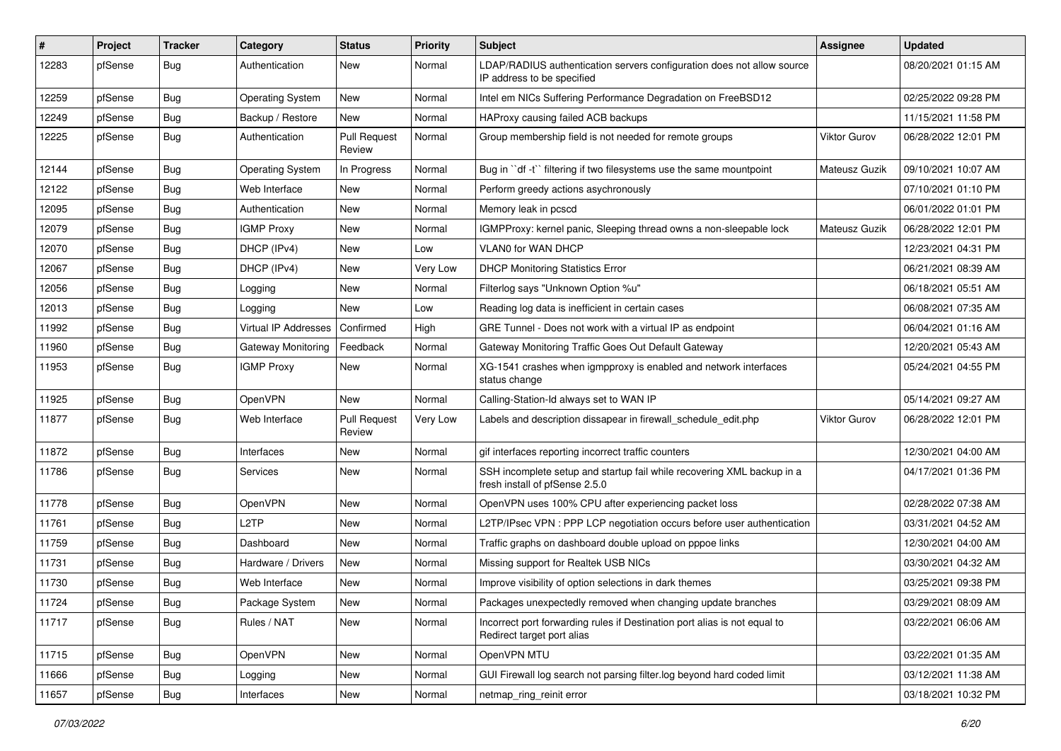| $\#$  | Project | <b>Tracker</b> | Category                    | <b>Status</b>                 | <b>Priority</b> | <b>Subject</b>                                                                                           | <b>Assignee</b>     | <b>Updated</b>      |
|-------|---------|----------------|-----------------------------|-------------------------------|-----------------|----------------------------------------------------------------------------------------------------------|---------------------|---------------------|
| 12283 | pfSense | Bug            | Authentication              | New                           | Normal          | LDAP/RADIUS authentication servers configuration does not allow source<br>IP address to be specified     |                     | 08/20/2021 01:15 AM |
| 12259 | pfSense | <b>Bug</b>     | <b>Operating System</b>     | New                           | Normal          | Intel em NICs Suffering Performance Degradation on FreeBSD12                                             |                     | 02/25/2022 09:28 PM |
| 12249 | pfSense | <b>Bug</b>     | Backup / Restore            | New                           | Normal          | HAProxy causing failed ACB backups                                                                       |                     | 11/15/2021 11:58 PM |
| 12225 | pfSense | Bug            | Authentication              | <b>Pull Request</b><br>Review | Normal          | Group membership field is not needed for remote groups                                                   | <b>Viktor Gurov</b> | 06/28/2022 12:01 PM |
| 12144 | pfSense | <b>Bug</b>     | <b>Operating System</b>     | In Progress                   | Normal          | Bug in "df -t" filtering if two filesystems use the same mountpoint                                      | Mateusz Guzik       | 09/10/2021 10:07 AM |
| 12122 | pfSense | <b>Bug</b>     | Web Interface               | New                           | Normal          | Perform greedy actions asychronously                                                                     |                     | 07/10/2021 01:10 PM |
| 12095 | pfSense | <b>Bug</b>     | Authentication              | <b>New</b>                    | Normal          | Memory leak in pcscd                                                                                     |                     | 06/01/2022 01:01 PM |
| 12079 | pfSense | <b>Bug</b>     | <b>IGMP Proxy</b>           | New                           | Normal          | IGMPProxy: kernel panic, Sleeping thread owns a non-sleepable lock                                       | Mateusz Guzik       | 06/28/2022 12:01 PM |
| 12070 | pfSense | Bug            | DHCP (IPv4)                 | New                           | Low             | <b>VLAN0 for WAN DHCP</b>                                                                                |                     | 12/23/2021 04:31 PM |
| 12067 | pfSense | <b>Bug</b>     | DHCP (IPv4)                 | New                           | Very Low        | <b>DHCP Monitoring Statistics Error</b>                                                                  |                     | 06/21/2021 08:39 AM |
| 12056 | pfSense | <b>Bug</b>     | Logging                     | <b>New</b>                    | Normal          | Filterlog says "Unknown Option %u"                                                                       |                     | 06/18/2021 05:51 AM |
| 12013 | pfSense | <b>Bug</b>     | Logging                     | New                           | Low             | Reading log data is inefficient in certain cases                                                         |                     | 06/08/2021 07:35 AM |
| 11992 | pfSense | <b>Bug</b>     | <b>Virtual IP Addresses</b> | Confirmed                     | High            | GRE Tunnel - Does not work with a virtual IP as endpoint                                                 |                     | 06/04/2021 01:16 AM |
| 11960 | pfSense | Bug            | Gateway Monitoring          | Feedback                      | Normal          | Gateway Monitoring Traffic Goes Out Default Gateway                                                      |                     | 12/20/2021 05:43 AM |
| 11953 | pfSense | Bug            | <b>IGMP Proxy</b>           | New                           | Normal          | XG-1541 crashes when igmpproxy is enabled and network interfaces<br>status change                        |                     | 05/24/2021 04:55 PM |
| 11925 | pfSense | Bug            | OpenVPN                     | New                           | Normal          | Calling-Station-Id always set to WAN IP                                                                  |                     | 05/14/2021 09:27 AM |
| 11877 | pfSense | Bug            | Web Interface               | <b>Pull Request</b><br>Review | Very Low        | Labels and description dissapear in firewall_schedule_edit.php                                           | Viktor Gurov        | 06/28/2022 12:01 PM |
| 11872 | pfSense | <b>Bug</b>     | Interfaces                  | New                           | Normal          | gif interfaces reporting incorrect traffic counters                                                      |                     | 12/30/2021 04:00 AM |
| 11786 | pfSense | Bug            | Services                    | New                           | Normal          | SSH incomplete setup and startup fail while recovering XML backup in a<br>fresh install of pfSense 2.5.0 |                     | 04/17/2021 01:36 PM |
| 11778 | pfSense | <b>Bug</b>     | OpenVPN                     | New                           | Normal          | OpenVPN uses 100% CPU after experiencing packet loss                                                     |                     | 02/28/2022 07:38 AM |
| 11761 | pfSense | <b>Bug</b>     | L <sub>2</sub> TP           | New                           | Normal          | L2TP/IPsec VPN: PPP LCP negotiation occurs before user authentication                                    |                     | 03/31/2021 04:52 AM |
| 11759 | pfSense | Bug            | Dashboard                   | New                           | Normal          | Traffic graphs on dashboard double upload on pppoe links                                                 |                     | 12/30/2021 04:00 AM |
| 11731 | pfSense | <b>Bug</b>     | Hardware / Drivers          | New                           | Normal          | Missing support for Realtek USB NICs                                                                     |                     | 03/30/2021 04:32 AM |
| 11730 | pfSense | <b>Bug</b>     | Web Interface               | New                           | Normal          | Improve visibility of option selections in dark themes                                                   |                     | 03/25/2021 09:38 PM |
| 11724 | ptSense | Bug            | Package System              | New                           | Normal          | Packages unexpectedly removed when changing update branches                                              |                     | 03/29/2021 08:09 AM |
| 11717 | pfSense | <b>Bug</b>     | Rules / NAT                 | New                           | Normal          | Incorrect port forwarding rules if Destination port alias is not equal to<br>Redirect target port alias  |                     | 03/22/2021 06:06 AM |
| 11715 | pfSense | <b>Bug</b>     | OpenVPN                     | New                           | Normal          | OpenVPN MTU                                                                                              |                     | 03/22/2021 01:35 AM |
| 11666 | pfSense | Bug            | Logging                     | New                           | Normal          | GUI Firewall log search not parsing filter.log beyond hard coded limit                                   |                     | 03/12/2021 11:38 AM |
| 11657 | pfSense | <b>Bug</b>     | Interfaces                  | New                           | Normal          | netmap ring reinit error                                                                                 |                     | 03/18/2021 10:32 PM |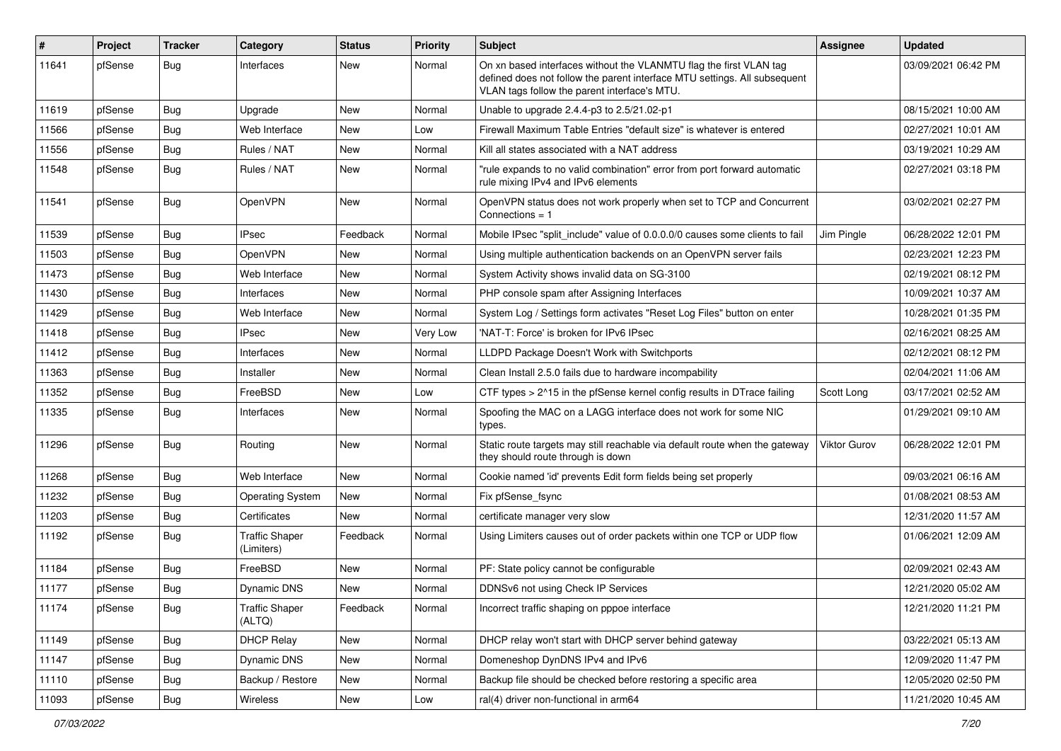| #     | Project | <b>Tracker</b> | Category                            | <b>Status</b> | <b>Priority</b> | <b>Subject</b>                                                                                                                                                                                  | Assignee            | <b>Updated</b>      |
|-------|---------|----------------|-------------------------------------|---------------|-----------------|-------------------------------------------------------------------------------------------------------------------------------------------------------------------------------------------------|---------------------|---------------------|
| 11641 | pfSense | Bug            | Interfaces                          | New           | Normal          | On xn based interfaces without the VLANMTU flag the first VLAN tag<br>defined does not follow the parent interface MTU settings. All subsequent<br>VLAN tags follow the parent interface's MTU. |                     | 03/09/2021 06:42 PM |
| 11619 | pfSense | Bug            | Upgrade                             | <b>New</b>    | Normal          | Unable to upgrade 2.4.4-p3 to 2.5/21.02-p1                                                                                                                                                      |                     | 08/15/2021 10:00 AM |
| 11566 | pfSense | <b>Bug</b>     | Web Interface                       | New           | Low             | Firewall Maximum Table Entries "default size" is whatever is entered                                                                                                                            |                     | 02/27/2021 10:01 AM |
| 11556 | pfSense | Bug            | Rules / NAT                         | New           | Normal          | Kill all states associated with a NAT address                                                                                                                                                   |                     | 03/19/2021 10:29 AM |
| 11548 | pfSense | <b>Bug</b>     | Rules / NAT                         | New           | Normal          | "rule expands to no valid combination" error from port forward automatic<br>rule mixing IPv4 and IPv6 elements                                                                                  |                     | 02/27/2021 03:18 PM |
| 11541 | pfSense | Bug            | OpenVPN                             | <b>New</b>    | Normal          | OpenVPN status does not work properly when set to TCP and Concurrent<br>Connections $= 1$                                                                                                       |                     | 03/02/2021 02:27 PM |
| 11539 | pfSense | <b>Bug</b>     | <b>IPsec</b>                        | Feedback      | Normal          | Mobile IPsec "split_include" value of 0.0.0.0/0 causes some clients to fail                                                                                                                     | Jim Pingle          | 06/28/2022 12:01 PM |
| 11503 | pfSense | <b>Bug</b>     | OpenVPN                             | New           | Normal          | Using multiple authentication backends on an OpenVPN server fails                                                                                                                               |                     | 02/23/2021 12:23 PM |
| 11473 | pfSense | <b>Bug</b>     | Web Interface                       | <b>New</b>    | Normal          | System Activity shows invalid data on SG-3100                                                                                                                                                   |                     | 02/19/2021 08:12 PM |
| 11430 | pfSense | Bug            | Interfaces                          | New           | Normal          | PHP console spam after Assigning Interfaces                                                                                                                                                     |                     | 10/09/2021 10:37 AM |
| 11429 | pfSense | <b>Bug</b>     | Web Interface                       | New           | Normal          | System Log / Settings form activates "Reset Log Files" button on enter                                                                                                                          |                     | 10/28/2021 01:35 PM |
| 11418 | pfSense | <b>Bug</b>     | <b>IPsec</b>                        | <b>New</b>    | Very Low        | 'NAT-T: Force' is broken for IPv6 IPsec                                                                                                                                                         |                     | 02/16/2021 08:25 AM |
| 11412 | pfSense | <b>Bug</b>     | Interfaces                          | New           | Normal          | LLDPD Package Doesn't Work with Switchports                                                                                                                                                     |                     | 02/12/2021 08:12 PM |
| 11363 | pfSense | <b>Bug</b>     | Installer                           | New           | Normal          | Clean Install 2.5.0 fails due to hardware incompability                                                                                                                                         |                     | 02/04/2021 11:06 AM |
| 11352 | pfSense | Bug            | FreeBSD                             | New           | Low             | CTF types > 2^15 in the pfSense kernel config results in DTrace failing                                                                                                                         | Scott Long          | 03/17/2021 02:52 AM |
| 11335 | pfSense | Bug            | Interfaces                          | New           | Normal          | Spoofing the MAC on a LAGG interface does not work for some NIC<br>types.                                                                                                                       |                     | 01/29/2021 09:10 AM |
| 11296 | pfSense | Bug            | Routing                             | New           | Normal          | Static route targets may still reachable via default route when the gateway<br>they should route through is down                                                                                | <b>Viktor Gurov</b> | 06/28/2022 12:01 PM |
| 11268 | pfSense | <b>Bug</b>     | Web Interface                       | <b>New</b>    | Normal          | Cookie named 'id' prevents Edit form fields being set properly                                                                                                                                  |                     | 09/03/2021 06:16 AM |
| 11232 | pfSense | <b>Bug</b>     | <b>Operating System</b>             | New           | Normal          | Fix pfSense fsync                                                                                                                                                                               |                     | 01/08/2021 08:53 AM |
| 11203 | pfSense | <b>Bug</b>     | Certificates                        | <b>New</b>    | Normal          | certificate manager very slow                                                                                                                                                                   |                     | 12/31/2020 11:57 AM |
| 11192 | pfSense | Bug            | <b>Traffic Shaper</b><br>(Limiters) | Feedback      | Normal          | Using Limiters causes out of order packets within one TCP or UDP flow                                                                                                                           |                     | 01/06/2021 12:09 AM |
| 11184 | pfSense | Bug            | FreeBSD                             | New           | Normal          | PF: State policy cannot be configurable                                                                                                                                                         |                     | 02/09/2021 02:43 AM |
| 11177 | pfSense | Bug            | Dynamic DNS                         | New           | Normal          | DDNSv6 not using Check IP Services                                                                                                                                                              |                     | 12/21/2020 05:02 AM |
| 11174 | pfSense | <b>Bug</b>     | <b>Traffic Shaper</b><br>(ALTQ)     | Feedback      | Normal          | Incorrect traffic shaping on pppoe interface                                                                                                                                                    |                     | 12/21/2020 11:21 PM |
| 11149 | pfSense | <b>Bug</b>     | <b>DHCP Relay</b>                   | New           | Normal          | DHCP relay won't start with DHCP server behind gateway                                                                                                                                          |                     | 03/22/2021 05:13 AM |
| 11147 | pfSense | Bug            | Dynamic DNS                         | New           | Normal          | Domeneshop DynDNS IPv4 and IPv6                                                                                                                                                                 |                     | 12/09/2020 11:47 PM |
| 11110 | pfSense | Bug            | Backup / Restore                    | New           | Normal          | Backup file should be checked before restoring a specific area                                                                                                                                  |                     | 12/05/2020 02:50 PM |
| 11093 | pfSense | Bug            | Wireless                            | New           | Low             | ral(4) driver non-functional in arm64                                                                                                                                                           |                     | 11/21/2020 10:45 AM |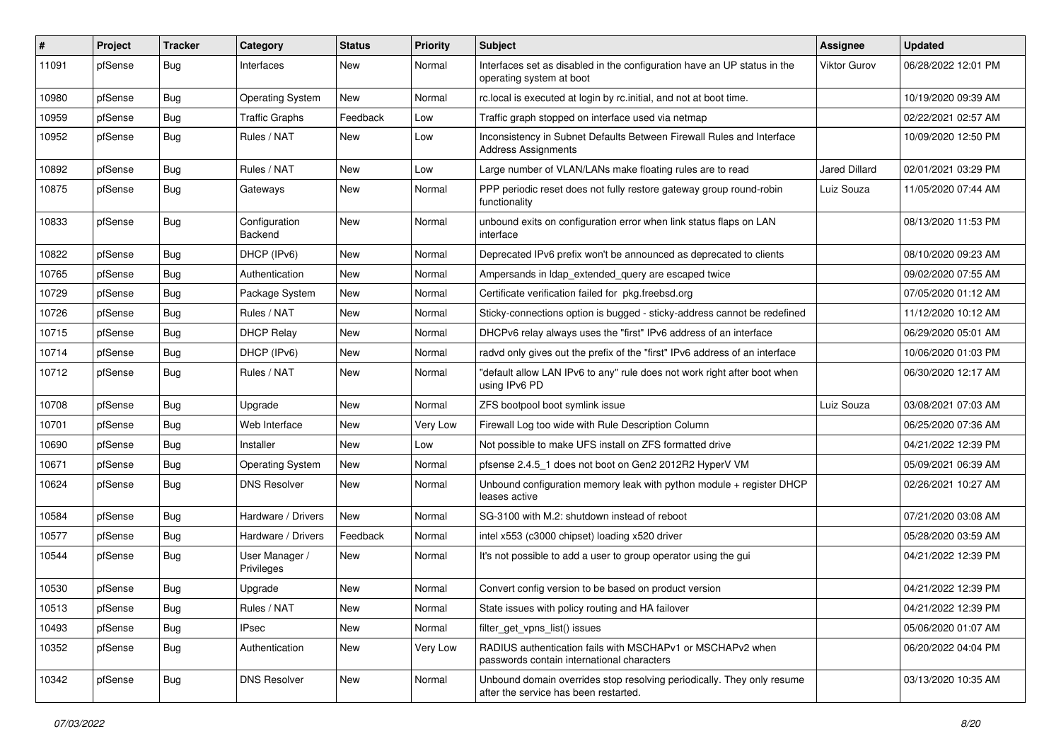| $\vert$ # | Project | <b>Tracker</b> | Category                     | <b>Status</b> | <b>Priority</b> | Subject                                                                                                         | <b>Assignee</b>     | <b>Updated</b>      |
|-----------|---------|----------------|------------------------------|---------------|-----------------|-----------------------------------------------------------------------------------------------------------------|---------------------|---------------------|
| 11091     | pfSense | <b>Bug</b>     | Interfaces                   | New           | Normal          | Interfaces set as disabled in the configuration have an UP status in the<br>operating system at boot            | <b>Viktor Gurov</b> | 06/28/2022 12:01 PM |
| 10980     | pfSense | <b>Bug</b>     | Operating System             | <b>New</b>    | Normal          | rc.local is executed at login by rc.initial, and not at boot time.                                              |                     | 10/19/2020 09:39 AM |
| 10959     | pfSense | <b>Bug</b>     | <b>Traffic Graphs</b>        | Feedback      | Low             | Traffic graph stopped on interface used via netmap                                                              |                     | 02/22/2021 02:57 AM |
| 10952     | pfSense | <b>Bug</b>     | Rules / NAT                  | New           | Low             | Inconsistency in Subnet Defaults Between Firewall Rules and Interface<br><b>Address Assignments</b>             |                     | 10/09/2020 12:50 PM |
| 10892     | pfSense | <b>Bug</b>     | Rules / NAT                  | New           | Low             | Large number of VLAN/LANs make floating rules are to read                                                       | Jared Dillard       | 02/01/2021 03:29 PM |
| 10875     | pfSense | Bug            | Gateways                     | <b>New</b>    | Normal          | PPP periodic reset does not fully restore gateway group round-robin<br>functionality                            | Luiz Souza          | 11/05/2020 07:44 AM |
| 10833     | pfSense | <b>Bug</b>     | Configuration<br>Backend     | New           | Normal          | unbound exits on configuration error when link status flaps on LAN<br>interface                                 |                     | 08/13/2020 11:53 PM |
| 10822     | pfSense | Bug            | DHCP (IPv6)                  | New           | Normal          | Deprecated IPv6 prefix won't be announced as deprecated to clients                                              |                     | 08/10/2020 09:23 AM |
| 10765     | pfSense | <b>Bug</b>     | Authentication               | <b>New</b>    | Normal          | Ampersands in Idap_extended_query are escaped twice                                                             |                     | 09/02/2020 07:55 AM |
| 10729     | pfSense | <b>Bug</b>     | Package System               | New           | Normal          | Certificate verification failed for pkg.freebsd.org                                                             |                     | 07/05/2020 01:12 AM |
| 10726     | pfSense | <b>Bug</b>     | Rules / NAT                  | New           | Normal          | Sticky-connections option is bugged - sticky-address cannot be redefined                                        |                     | 11/12/2020 10:12 AM |
| 10715     | pfSense | Bug            | <b>DHCP Relay</b>            | <b>New</b>    | Normal          | DHCPv6 relay always uses the "first" IPv6 address of an interface                                               |                     | 06/29/2020 05:01 AM |
| 10714     | pfSense | Bug            | DHCP (IPv6)                  | New           | Normal          | radyd only gives out the prefix of the "first" IPv6 address of an interface                                     |                     | 10/06/2020 01:03 PM |
| 10712     | pfSense | <b>Bug</b>     | Rules / NAT                  | New           | Normal          | "default allow LAN IPv6 to any" rule does not work right after boot when<br>using IPv6 PD                       |                     | 06/30/2020 12:17 AM |
| 10708     | pfSense | Bug            | Upgrade                      | <b>New</b>    | Normal          | ZFS bootpool boot symlink issue                                                                                 | Luiz Souza          | 03/08/2021 07:03 AM |
| 10701     | pfSense | Bug            | Web Interface                | New           | Very Low        | Firewall Log too wide with Rule Description Column                                                              |                     | 06/25/2020 07:36 AM |
| 10690     | pfSense | <b>Bug</b>     | Installer                    | <b>New</b>    | Low             | Not possible to make UFS install on ZFS formatted drive                                                         |                     | 04/21/2022 12:39 PM |
| 10671     | pfSense | <b>Bug</b>     | <b>Operating System</b>      | New           | Normal          | pfsense 2.4.5 1 does not boot on Gen2 2012R2 HyperV VM                                                          |                     | 05/09/2021 06:39 AM |
| 10624     | pfSense | Bug            | <b>DNS Resolver</b>          | <b>New</b>    | Normal          | Unbound configuration memory leak with python module + register DHCP<br>leases active                           |                     | 02/26/2021 10:27 AM |
| 10584     | pfSense | Bug            | Hardware / Drivers           | <b>New</b>    | Normal          | SG-3100 with M.2: shutdown instead of reboot                                                                    |                     | 07/21/2020 03:08 AM |
| 10577     | pfSense | <b>Bug</b>     | Hardware / Drivers           | Feedback      | Normal          | intel x553 (c3000 chipset) loading x520 driver                                                                  |                     | 05/28/2020 03:59 AM |
| 10544     | pfSense | <b>Bug</b>     | User Manager /<br>Privileges | New           | Normal          | It's not possible to add a user to group operator using the gui                                                 |                     | 04/21/2022 12:39 PM |
| 10530     | pfSense | <b>Bug</b>     | Upgrade                      | New           | Normal          | Convert config version to be based on product version                                                           |                     | 04/21/2022 12:39 PM |
| 10513     | pfSense | <b>Bug</b>     | Rules / NAT                  | New           | Normal          | State issues with policy routing and HA failover                                                                |                     | 04/21/2022 12:39 PM |
| 10493     | pfSense | Bug            | <b>IPsec</b>                 | New           | Normal          | filter_get_vpns_list() issues                                                                                   |                     | 05/06/2020 01:07 AM |
| 10352     | pfSense | <b>Bug</b>     | Authentication               | New           | Very Low        | RADIUS authentication fails with MSCHAPv1 or MSCHAPv2 when<br>passwords contain international characters        |                     | 06/20/2022 04:04 PM |
| 10342     | pfSense | <b>Bug</b>     | <b>DNS Resolver</b>          | New           | Normal          | Unbound domain overrides stop resolving periodically. They only resume<br>after the service has been restarted. |                     | 03/13/2020 10:35 AM |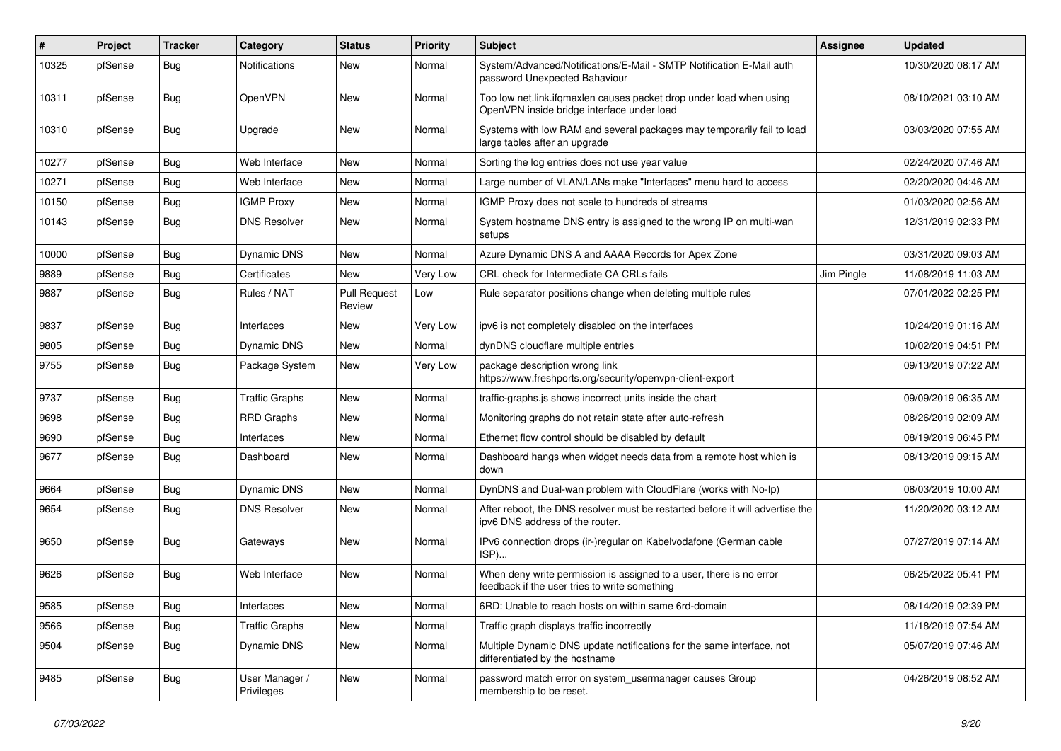| $\vert$ # | Project | <b>Tracker</b> | Category                     | <b>Status</b>                 | <b>Priority</b> | Subject                                                                                                              | <b>Assignee</b> | <b>Updated</b>      |
|-----------|---------|----------------|------------------------------|-------------------------------|-----------------|----------------------------------------------------------------------------------------------------------------------|-----------------|---------------------|
| 10325     | pfSense | <b>Bug</b>     | Notifications                | New                           | Normal          | System/Advanced/Notifications/E-Mail - SMTP Notification E-Mail auth<br>password Unexpected Bahaviour                |                 | 10/30/2020 08:17 AM |
| 10311     | pfSense | <b>Bug</b>     | <b>OpenVPN</b>               | New                           | Normal          | Too low net.link.ifqmaxlen causes packet drop under load when using<br>OpenVPN inside bridge interface under load    |                 | 08/10/2021 03:10 AM |
| 10310     | pfSense | <b>Bug</b>     | Upgrade                      | New                           | Normal          | Systems with low RAM and several packages may temporarily fail to load<br>large tables after an upgrade              |                 | 03/03/2020 07:55 AM |
| 10277     | pfSense | <b>Bug</b>     | Web Interface                | <b>New</b>                    | Normal          | Sorting the log entries does not use year value                                                                      |                 | 02/24/2020 07:46 AM |
| 10271     | pfSense | <b>Bug</b>     | Web Interface                | New                           | Normal          | Large number of VLAN/LANs make "Interfaces" menu hard to access                                                      |                 | 02/20/2020 04:46 AM |
| 10150     | pfSense | <b>Bug</b>     | <b>IGMP Proxy</b>            | <b>New</b>                    | Normal          | IGMP Proxy does not scale to hundreds of streams                                                                     |                 | 01/03/2020 02:56 AM |
| 10143     | pfSense | <b>Bug</b>     | <b>DNS Resolver</b>          | New                           | Normal          | System hostname DNS entry is assigned to the wrong IP on multi-wan<br>setups                                         |                 | 12/31/2019 02:33 PM |
| 10000     | pfSense | <b>Bug</b>     | Dynamic DNS                  | New                           | Normal          | Azure Dynamic DNS A and AAAA Records for Apex Zone                                                                   |                 | 03/31/2020 09:03 AM |
| 9889      | pfSense | <b>Bug</b>     | Certificates                 | <b>New</b>                    | Very Low        | CRL check for Intermediate CA CRLs fails                                                                             | Jim Pingle      | 11/08/2019 11:03 AM |
| 9887      | pfSense | <b>Bug</b>     | Rules / NAT                  | <b>Pull Request</b><br>Review | Low             | Rule separator positions change when deleting multiple rules                                                         |                 | 07/01/2022 02:25 PM |
| 9837      | pfSense | <b>Bug</b>     | Interfaces                   | New                           | Very Low        | ipv6 is not completely disabled on the interfaces                                                                    |                 | 10/24/2019 01:16 AM |
| 9805      | pfSense | <b>Bug</b>     | <b>Dynamic DNS</b>           | <b>New</b>                    | Normal          | dynDNS cloudflare multiple entries                                                                                   |                 | 10/02/2019 04:51 PM |
| 9755      | pfSense | <b>Bug</b>     | Package System               | New                           | Very Low        | package description wrong link<br>https://www.freshports.org/security/openvpn-client-export                          |                 | 09/13/2019 07:22 AM |
| 9737      | pfSense | <b>Bug</b>     | <b>Traffic Graphs</b>        | New                           | Normal          | traffic-graphs.js shows incorrect units inside the chart                                                             |                 | 09/09/2019 06:35 AM |
| 9698      | pfSense | Bug            | <b>RRD Graphs</b>            | New                           | Normal          | Monitoring graphs do not retain state after auto-refresh                                                             |                 | 08/26/2019 02:09 AM |
| 9690      | pfSense | <b>Bug</b>     | Interfaces                   | New                           | Normal          | Ethernet flow control should be disabled by default                                                                  |                 | 08/19/2019 06:45 PM |
| 9677      | pfSense | <b>Bug</b>     | Dashboard                    | New                           | Normal          | Dashboard hangs when widget needs data from a remote host which is<br>down                                           |                 | 08/13/2019 09:15 AM |
| 9664      | pfSense | Bug            | <b>Dynamic DNS</b>           | <b>New</b>                    | Normal          | DynDNS and Dual-wan problem with CloudFlare (works with No-Ip)                                                       |                 | 08/03/2019 10:00 AM |
| 9654      | pfSense | <b>Bug</b>     | <b>DNS Resolver</b>          | New                           | Normal          | After reboot, the DNS resolver must be restarted before it will advertise the<br>ipv6 DNS address of the router.     |                 | 11/20/2020 03:12 AM |
| 9650      | pfSense | <b>Bug</b>     | Gateways                     | New                           | Normal          | IPv6 connection drops (ir-)regular on Kabelvodafone (German cable<br>ISP)                                            |                 | 07/27/2019 07:14 AM |
| 9626      | pfSense | Bug            | Web Interface                | <b>New</b>                    | Normal          | When deny write permission is assigned to a user, there is no error<br>feedback if the user tries to write something |                 | 06/25/2022 05:41 PM |
| 9585      | pfSense | Bug            | Interfaces                   | New                           | Normal          | 6RD: Unable to reach hosts on within same 6rd-domain                                                                 |                 | 08/14/2019 02:39 PM |
| 9566      | pfSense | <b>Bug</b>     | <b>Traffic Graphs</b>        | New                           | Normal          | Traffic graph displays traffic incorrectly                                                                           |                 | 11/18/2019 07:54 AM |
| 9504      | pfSense | <b>Bug</b>     | Dynamic DNS                  | New                           | Normal          | Multiple Dynamic DNS update notifications for the same interface, not<br>differentiated by the hostname              |                 | 05/07/2019 07:46 AM |
| 9485      | pfSense | <b>Bug</b>     | User Manager /<br>Privileges | New                           | Normal          | password match error on system usermanager causes Group<br>membership to be reset.                                   |                 | 04/26/2019 08:52 AM |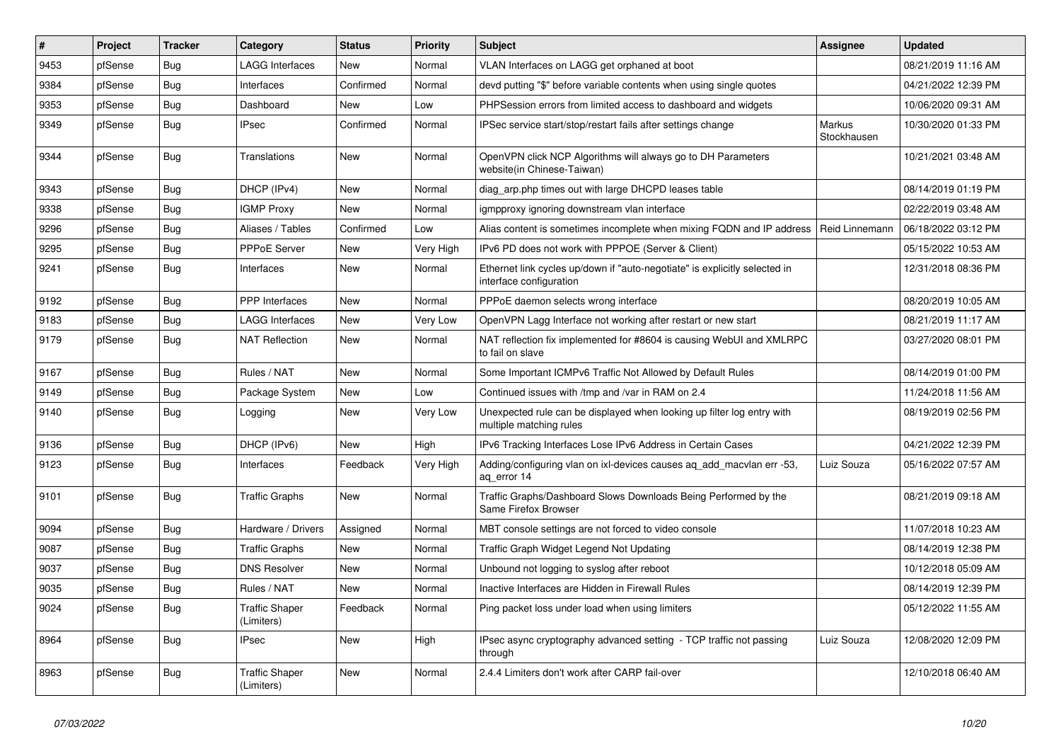| #    | Project | <b>Tracker</b> | Category                            | <b>Status</b> | <b>Priority</b> | <b>Subject</b>                                                                                        | Assignee              | <b>Updated</b>      |
|------|---------|----------------|-------------------------------------|---------------|-----------------|-------------------------------------------------------------------------------------------------------|-----------------------|---------------------|
| 9453 | pfSense | Bug            | LAGG Interfaces                     | <b>New</b>    | Normal          | VLAN Interfaces on LAGG get orphaned at boot                                                          |                       | 08/21/2019 11:16 AM |
| 9384 | pfSense | Bug            | Interfaces                          | Confirmed     | Normal          | devd putting "\$" before variable contents when using single quotes                                   |                       | 04/21/2022 12:39 PM |
| 9353 | pfSense | <b>Bug</b>     | Dashboard                           | New           | Low             | PHPSession errors from limited access to dashboard and widgets                                        |                       | 10/06/2020 09:31 AM |
| 9349 | pfSense | <b>Bug</b>     | <b>IPsec</b>                        | Confirmed     | Normal          | IPSec service start/stop/restart fails after settings change                                          | Markus<br>Stockhausen | 10/30/2020 01:33 PM |
| 9344 | pfSense | <b>Bug</b>     | Translations                        | New           | Normal          | OpenVPN click NCP Algorithms will always go to DH Parameters<br>website(in Chinese-Taiwan)            |                       | 10/21/2021 03:48 AM |
| 9343 | pfSense | Bug            | DHCP (IPv4)                         | New           | Normal          | diag arp.php times out with large DHCPD leases table                                                  |                       | 08/14/2019 01:19 PM |
| 9338 | pfSense | <b>Bug</b>     | <b>IGMP Proxy</b>                   | <b>New</b>    | Normal          | igmpproxy ignoring downstream vlan interface                                                          |                       | 02/22/2019 03:48 AM |
| 9296 | pfSense | Bug            | Aliases / Tables                    | Confirmed     | Low             | Alias content is sometimes incomplete when mixing FQDN and IP address                                 | Reid Linnemann        | 06/18/2022 03:12 PM |
| 9295 | pfSense | <b>Bug</b>     | PPPoE Server                        | <b>New</b>    | Very High       | IPv6 PD does not work with PPPOE (Server & Client)                                                    |                       | 05/15/2022 10:53 AM |
| 9241 | pfSense | <b>Bug</b>     | Interfaces                          | <b>New</b>    | Normal          | Ethernet link cycles up/down if "auto-negotiate" is explicitly selected in<br>interface configuration |                       | 12/31/2018 08:36 PM |
| 9192 | pfSense | <b>Bug</b>     | <b>PPP</b> Interfaces               | New           | Normal          | PPPoE daemon selects wrong interface                                                                  |                       | 08/20/2019 10:05 AM |
| 9183 | pfSense | Bug            | <b>LAGG Interfaces</b>              | New           | Very Low        | OpenVPN Lagg Interface not working after restart or new start                                         |                       | 08/21/2019 11:17 AM |
| 9179 | pfSense | <b>Bug</b>     | <b>NAT Reflection</b>               | New           | Normal          | NAT reflection fix implemented for #8604 is causing WebUI and XMLRPC<br>to fail on slave              |                       | 03/27/2020 08:01 PM |
| 9167 | pfSense | <b>Bug</b>     | Rules / NAT                         | New           | Normal          | Some Important ICMPv6 Traffic Not Allowed by Default Rules                                            |                       | 08/14/2019 01:00 PM |
| 9149 | pfSense | <b>Bug</b>     | Package System                      | New           | Low             | Continued issues with /tmp and /var in RAM on 2.4                                                     |                       | 11/24/2018 11:56 AM |
| 9140 | pfSense | <b>Bug</b>     | Logging                             | New           | Very Low        | Unexpected rule can be displayed when looking up filter log entry with<br>multiple matching rules     |                       | 08/19/2019 02:56 PM |
| 9136 | pfSense | <b>Bug</b>     | DHCP (IPv6)                         | <b>New</b>    | High            | IPv6 Tracking Interfaces Lose IPv6 Address in Certain Cases                                           |                       | 04/21/2022 12:39 PM |
| 9123 | pfSense | <b>Bug</b>     | Interfaces                          | Feedback      | Very High       | Adding/configuring vlan on ixl-devices causes aq_add_macvlan err -53,<br>ag error 14                  | Luiz Souza            | 05/16/2022 07:57 AM |
| 9101 | pfSense | Bug            | <b>Traffic Graphs</b>               | New           | Normal          | Traffic Graphs/Dashboard Slows Downloads Being Performed by the<br>Same Firefox Browser               |                       | 08/21/2019 09:18 AM |
| 9094 | pfSense | <b>Bug</b>     | Hardware / Drivers                  | Assigned      | Normal          | MBT console settings are not forced to video console                                                  |                       | 11/07/2018 10:23 AM |
| 9087 | pfSense | Bug            | <b>Traffic Graphs</b>               | New           | Normal          | Traffic Graph Widget Legend Not Updating                                                              |                       | 08/14/2019 12:38 PM |
| 9037 | pfSense | <b>Bug</b>     | <b>DNS Resolver</b>                 | New           | Normal          | Unbound not logging to syslog after reboot                                                            |                       | 10/12/2018 05:09 AM |
| 9035 | pfSense | <b>Bug</b>     | Rules / NAT                         | <b>New</b>    | Normal          | Inactive Interfaces are Hidden in Firewall Rules                                                      |                       | 08/14/2019 12:39 PM |
| 9024 | pfSense | <b>Bug</b>     | <b>Traffic Shaper</b><br>(Limiters) | Feedback      | Normal          | Ping packet loss under load when using limiters                                                       |                       | 05/12/2022 11:55 AM |
| 8964 | pfSense | <b>Bug</b>     | <b>IPsec</b>                        | <b>New</b>    | High            | IPsec async cryptography advanced setting - TCP traffic not passing<br>through                        | Luiz Souza            | 12/08/2020 12:09 PM |
| 8963 | pfSense | <b>Bug</b>     | <b>Traffic Shaper</b><br>(Limiters) | <b>New</b>    | Normal          | 2.4.4 Limiters don't work after CARP fail-over                                                        |                       | 12/10/2018 06:40 AM |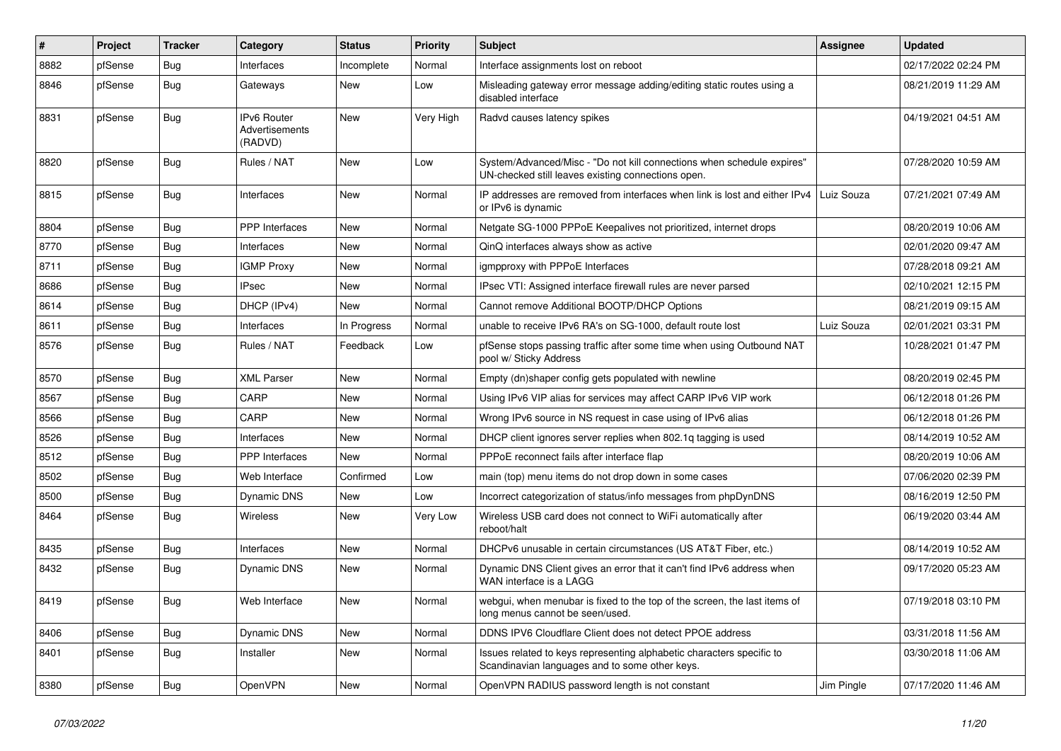| #    | Project | <b>Tracker</b> | Category                                        | <b>Status</b> | <b>Priority</b> | <b>Subject</b>                                                                                                               | Assignee   | <b>Updated</b>      |
|------|---------|----------------|-------------------------------------------------|---------------|-----------------|------------------------------------------------------------------------------------------------------------------------------|------------|---------------------|
| 8882 | pfSense | <b>Bug</b>     | Interfaces                                      | Incomplete    | Normal          | Interface assignments lost on reboot                                                                                         |            | 02/17/2022 02:24 PM |
| 8846 | pfSense | Bug            | Gateways                                        | New           | Low             | Misleading gateway error message adding/editing static routes using a<br>disabled interface                                  |            | 08/21/2019 11:29 AM |
| 8831 | pfSense | <b>Bug</b>     | <b>IPv6 Router</b><br>Advertisements<br>(RADVD) | <b>New</b>    | Very High       | Radvd causes latency spikes                                                                                                  |            | 04/19/2021 04:51 AM |
| 8820 | pfSense | <b>Bug</b>     | Rules / NAT                                     | New           | Low             | System/Advanced/Misc - "Do not kill connections when schedule expires"<br>UN-checked still leaves existing connections open. |            | 07/28/2020 10:59 AM |
| 8815 | pfSense | <b>Bug</b>     | Interfaces                                      | New           | Normal          | IP addresses are removed from interfaces when link is lost and either IPv4<br>or IPv6 is dynamic                             | Luiz Souza | 07/21/2021 07:49 AM |
| 8804 | pfSense | <b>Bug</b>     | PPP Interfaces                                  | <b>New</b>    | Normal          | Netgate SG-1000 PPPoE Keepalives not prioritized, internet drops                                                             |            | 08/20/2019 10:06 AM |
| 8770 | pfSense | <b>Bug</b>     | Interfaces                                      | <b>New</b>    | Normal          | QinQ interfaces always show as active                                                                                        |            | 02/01/2020 09:47 AM |
| 8711 | pfSense | <b>Bug</b>     | <b>IGMP Proxy</b>                               | <b>New</b>    | Normal          | igmpproxy with PPPoE Interfaces                                                                                              |            | 07/28/2018 09:21 AM |
| 8686 | pfSense | <b>Bug</b>     | <b>IPsec</b>                                    | <b>New</b>    | Normal          | IPsec VTI: Assigned interface firewall rules are never parsed                                                                |            | 02/10/2021 12:15 PM |
| 8614 | pfSense | Bug            | DHCP (IPv4)                                     | <b>New</b>    | Normal          | Cannot remove Additional BOOTP/DHCP Options                                                                                  |            | 08/21/2019 09:15 AM |
| 8611 | pfSense | <b>Bug</b>     | Interfaces                                      | In Progress   | Normal          | unable to receive IPv6 RA's on SG-1000, default route lost                                                                   | Luiz Souza | 02/01/2021 03:31 PM |
| 8576 | pfSense | <b>Bug</b>     | Rules / NAT                                     | Feedback      | Low             | pfSense stops passing traffic after some time when using Outbound NAT<br>pool w/ Sticky Address                              |            | 10/28/2021 01:47 PM |
| 8570 | pfSense | Bug            | <b>XML Parser</b>                               | New           | Normal          | Empty (dn)shaper config gets populated with newline                                                                          |            | 08/20/2019 02:45 PM |
| 8567 | pfSense | Bug            | CARP                                            | New           | Normal          | Using IPv6 VIP alias for services may affect CARP IPv6 VIP work                                                              |            | 06/12/2018 01:26 PM |
| 8566 | pfSense | <b>Bug</b>     | CARP                                            | New           | Normal          | Wrong IPv6 source in NS request in case using of IPv6 alias                                                                  |            | 06/12/2018 01:26 PM |
| 8526 | pfSense | Bug            | Interfaces                                      | New           | Normal          | DHCP client ignores server replies when 802.1g tagging is used                                                               |            | 08/14/2019 10:52 AM |
| 8512 | pfSense | Bug            | PPP Interfaces                                  | New           | Normal          | PPPoE reconnect fails after interface flap                                                                                   |            | 08/20/2019 10:06 AM |
| 8502 | pfSense | <b>Bug</b>     | Web Interface                                   | Confirmed     | Low             | main (top) menu items do not drop down in some cases                                                                         |            | 07/06/2020 02:39 PM |
| 8500 | pfSense | <b>Bug</b>     | Dynamic DNS                                     | New           | Low             | Incorrect categorization of status/info messages from phpDynDNS                                                              |            | 08/16/2019 12:50 PM |
| 8464 | pfSense | Bug            | Wireless                                        | New           | Very Low        | Wireless USB card does not connect to WiFi automatically after<br>reboot/halt                                                |            | 06/19/2020 03:44 AM |
| 8435 | pfSense | <b>Bug</b>     | Interfaces                                      | <b>New</b>    | Normal          | DHCPv6 unusable in certain circumstances (US AT&T Fiber, etc.)                                                               |            | 08/14/2019 10:52 AM |
| 8432 | pfSense | Bug            | Dynamic DNS                                     | New           | Normal          | Dynamic DNS Client gives an error that it can't find IPv6 address when<br>WAN interface is a LAGG                            |            | 09/17/2020 05:23 AM |
| 8419 | pfSense | <b>Bug</b>     | Web Interface                                   | New           | Normal          | webgui, when menubar is fixed to the top of the screen, the last items of<br>long menus cannot be seen/used.                 |            | 07/19/2018 03:10 PM |
| 8406 | pfSense | <b>Bug</b>     | Dynamic DNS                                     | <b>New</b>    | Normal          | DDNS IPV6 Cloudflare Client does not detect PPOE address                                                                     |            | 03/31/2018 11:56 AM |
| 8401 | pfSense | Bug            | Installer                                       | <b>New</b>    | Normal          | Issues related to keys representing alphabetic characters specific to<br>Scandinavian languages and to some other keys.      |            | 03/30/2018 11:06 AM |
| 8380 | pfSense | Bug            | OpenVPN                                         | New           | Normal          | OpenVPN RADIUS password length is not constant                                                                               | Jim Pingle | 07/17/2020 11:46 AM |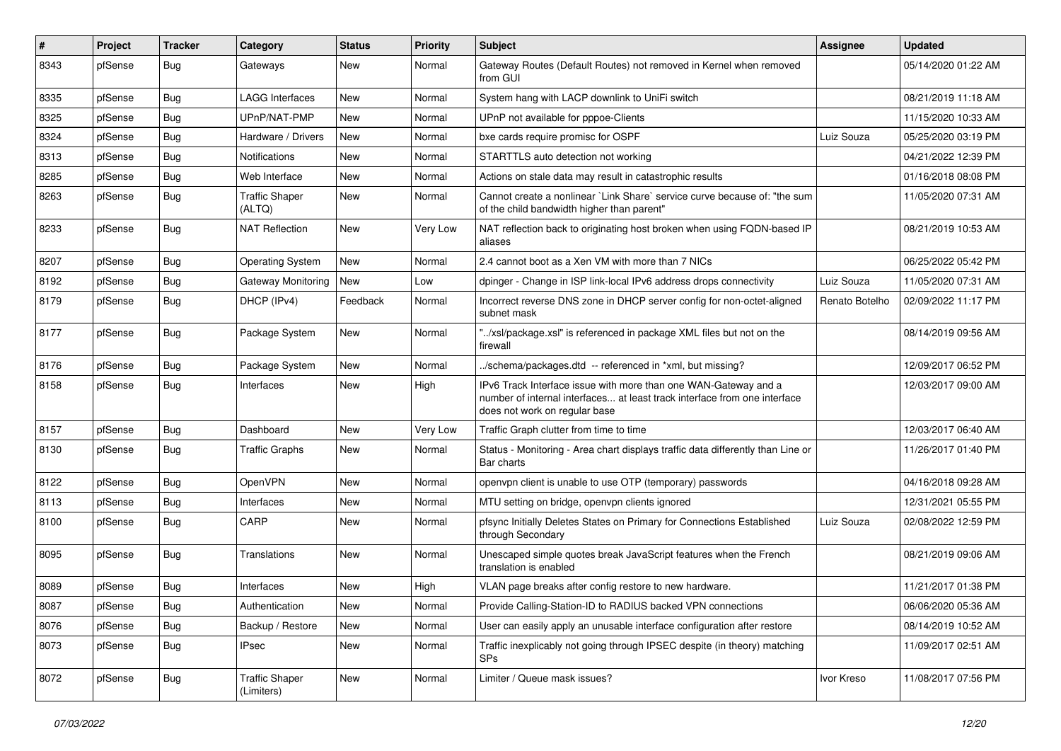| $\vert$ # | Project | <b>Tracker</b> | Category                            | <b>Status</b> | <b>Priority</b> | Subject                                                                                                                                                                       | <b>Assignee</b> | <b>Updated</b>      |
|-----------|---------|----------------|-------------------------------------|---------------|-----------------|-------------------------------------------------------------------------------------------------------------------------------------------------------------------------------|-----------------|---------------------|
| 8343      | pfSense | Bug            | Gateways                            | New           | Normal          | Gateway Routes (Default Routes) not removed in Kernel when removed<br>from GUI                                                                                                |                 | 05/14/2020 01:22 AM |
| 8335      | pfSense | <b>Bug</b>     | <b>LAGG Interfaces</b>              | New           | Normal          | System hang with LACP downlink to UniFi switch                                                                                                                                |                 | 08/21/2019 11:18 AM |
| 8325      | pfSense | <b>Bug</b>     | UPnP/NAT-PMP                        | New           | Normal          | UPnP not available for pppoe-Clients                                                                                                                                          |                 | 11/15/2020 10:33 AM |
| 8324      | pfSense | Bug            | Hardware / Drivers                  | <b>New</b>    | Normal          | bxe cards require promisc for OSPF                                                                                                                                            | Luiz Souza      | 05/25/2020 03:19 PM |
| 8313      | pfSense | <b>Bug</b>     | <b>Notifications</b>                | New           | Normal          | STARTTLS auto detection not working                                                                                                                                           |                 | 04/21/2022 12:39 PM |
| 8285      | pfSense | <b>Bug</b>     | Web Interface                       | New           | Normal          | Actions on stale data may result in catastrophic results                                                                                                                      |                 | 01/16/2018 08:08 PM |
| 8263      | pfSense | <b>Bug</b>     | <b>Traffic Shaper</b><br>(ALTQ)     | New           | Normal          | Cannot create a nonlinear `Link Share` service curve because of: "the sum<br>of the child bandwidth higher than parent"                                                       |                 | 11/05/2020 07:31 AM |
| 8233      | pfSense | Bug            | <b>NAT Reflection</b>               | New           | Very Low        | NAT reflection back to originating host broken when using FQDN-based IP<br>aliases                                                                                            |                 | 08/21/2019 10:53 AM |
| 8207      | pfSense | <b>Bug</b>     | <b>Operating System</b>             | New           | Normal          | 2.4 cannot boot as a Xen VM with more than 7 NICs                                                                                                                             |                 | 06/25/2022 05:42 PM |
| 8192      | pfSense | <b>Bug</b>     | <b>Gateway Monitoring</b>           | New           | Low             | dpinger - Change in ISP link-local IPv6 address drops connectivity                                                                                                            | Luiz Souza      | 11/05/2020 07:31 AM |
| 8179      | pfSense | <b>Bug</b>     | DHCP (IPv4)                         | Feedback      | Normal          | Incorrect reverse DNS zone in DHCP server config for non-octet-aligned<br>subnet mask                                                                                         | Renato Botelho  | 02/09/2022 11:17 PM |
| 8177      | pfSense | <b>Bug</b>     | Package System                      | New           | Normal          | "/xsl/package.xsl" is referenced in package XML files but not on the<br>firewall                                                                                              |                 | 08/14/2019 09:56 AM |
| 8176      | pfSense | Bug            | Package System                      | New           | Normal          | /schema/packages.dtd -- referenced in *xml, but missing?                                                                                                                      |                 | 12/09/2017 06:52 PM |
| 8158      | pfSense | Bug            | Interfaces                          | New           | High            | IPv6 Track Interface issue with more than one WAN-Gateway and a<br>number of internal interfaces at least track interface from one interface<br>does not work on regular base |                 | 12/03/2017 09:00 AM |
| 8157      | pfSense | <b>Bug</b>     | Dashboard                           | New           | Very Low        | Traffic Graph clutter from time to time                                                                                                                                       |                 | 12/03/2017 06:40 AM |
| 8130      | pfSense | <b>Bug</b>     | <b>Traffic Graphs</b>               | New           | Normal          | Status - Monitoring - Area chart displays traffic data differently than Line or<br>Bar charts                                                                                 |                 | 11/26/2017 01:40 PM |
| 8122      | pfSense | <b>Bug</b>     | OpenVPN                             | New           | Normal          | openvpn client is unable to use OTP (temporary) passwords                                                                                                                     |                 | 04/16/2018 09:28 AM |
| 8113      | pfSense | <b>Bug</b>     | Interfaces                          | New           | Normal          | MTU setting on bridge, openvpn clients ignored                                                                                                                                |                 | 12/31/2021 05:55 PM |
| 8100      | pfSense | <b>Bug</b>     | CARP                                | New           | Normal          | pfsync Initially Deletes States on Primary for Connections Established<br>through Secondary                                                                                   | Luiz Souza      | 02/08/2022 12:59 PM |
| 8095      | pfSense | Bug            | Translations                        | New           | Normal          | Unescaped simple quotes break JavaScript features when the French<br>translation is enabled                                                                                   |                 | 08/21/2019 09:06 AM |
| 8089      | pfSense | Bug            | Interfaces                          | New           | High            | VLAN page breaks after config restore to new hardware.                                                                                                                        |                 | 11/21/2017 01:38 PM |
| 8087      | pfSense | Bug            | Authentication                      | New           | Normal          | Provide Calling-Station-ID to RADIUS backed VPN connections                                                                                                                   |                 | 06/06/2020 05:36 AM |
| 8076      | pfSense | <b>Bug</b>     | Backup / Restore                    | New           | Normal          | User can easily apply an unusable interface configuration after restore                                                                                                       |                 | 08/14/2019 10:52 AM |
| 8073      | pfSense | Bug            | <b>IPsec</b>                        | New           | Normal          | Traffic inexplicably not going through IPSEC despite (in theory) matching<br><b>SPs</b>                                                                                       |                 | 11/09/2017 02:51 AM |
| 8072      | pfSense | <b>Bug</b>     | <b>Traffic Shaper</b><br>(Limiters) | New           | Normal          | Limiter / Queue mask issues?                                                                                                                                                  | Ivor Kreso      | 11/08/2017 07:56 PM |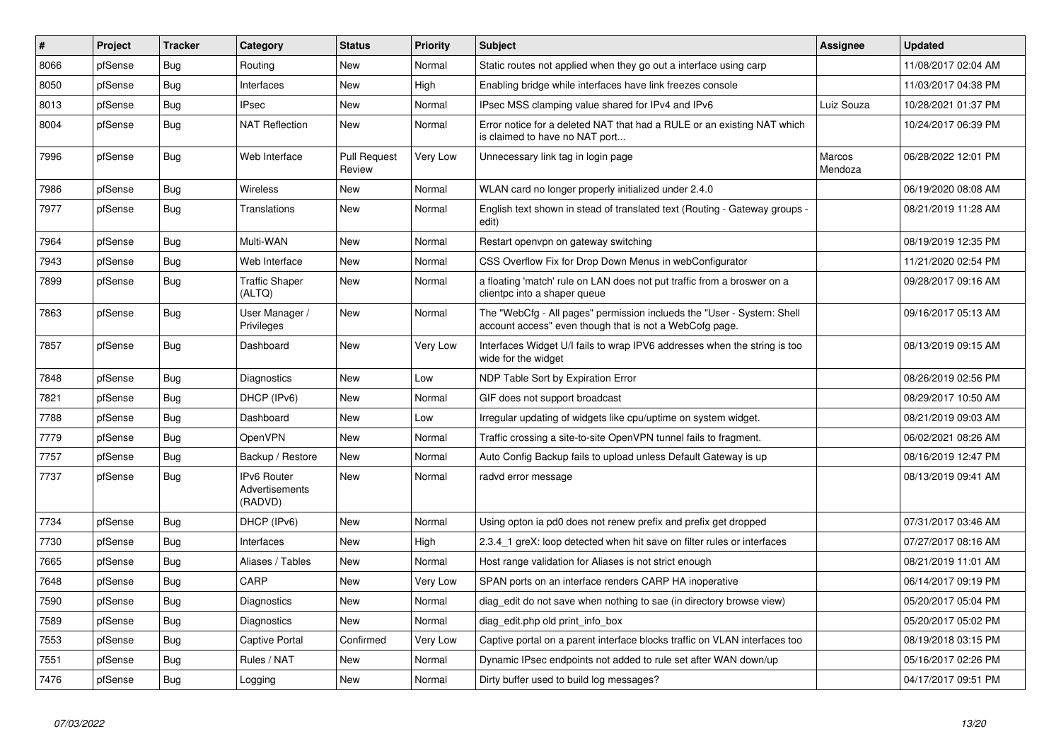| $\pmb{\#}$ | Project | <b>Tracker</b> | Category                                        | <b>Status</b>                 | <b>Priority</b> | <b>Subject</b>                                                                                                                    | <b>Assignee</b>   | <b>Updated</b>      |
|------------|---------|----------------|-------------------------------------------------|-------------------------------|-----------------|-----------------------------------------------------------------------------------------------------------------------------------|-------------------|---------------------|
| 8066       | pfSense | Bug            | Routing                                         | <b>New</b>                    | Normal          | Static routes not applied when they go out a interface using carp                                                                 |                   | 11/08/2017 02:04 AM |
| 8050       | pfSense | Bug            | Interfaces                                      | <b>New</b>                    | High            | Enabling bridge while interfaces have link freezes console                                                                        |                   | 11/03/2017 04:38 PM |
| 8013       | pfSense | <b>Bug</b>     | <b>IPsec</b>                                    | New                           | Normal          | IPsec MSS clamping value shared for IPv4 and IPv6                                                                                 | Luiz Souza        | 10/28/2021 01:37 PM |
| 8004       | pfSense | <b>Bug</b>     | <b>NAT Reflection</b>                           | <b>New</b>                    | Normal          | Error notice for a deleted NAT that had a RULE or an existing NAT which<br>is claimed to have no NAT port                         |                   | 10/24/2017 06:39 PM |
| 7996       | pfSense | Bug            | Web Interface                                   | <b>Pull Request</b><br>Review | Very Low        | Unnecessary link tag in login page                                                                                                | Marcos<br>Mendoza | 06/28/2022 12:01 PM |
| 7986       | pfSense | Bug            | Wireless                                        | New                           | Normal          | WLAN card no longer properly initialized under 2.4.0                                                                              |                   | 06/19/2020 08:08 AM |
| 7977       | pfSense | Bug            | Translations                                    | New                           | Normal          | English text shown in stead of translated text (Routing - Gateway groups -<br>edit)                                               |                   | 08/21/2019 11:28 AM |
| 7964       | pfSense | Bug            | Multi-WAN                                       | New                           | Normal          | Restart openypn on gateway switching                                                                                              |                   | 08/19/2019 12:35 PM |
| 7943       | pfSense | <b>Bug</b>     | Web Interface                                   | New                           | Normal          | CSS Overflow Fix for Drop Down Menus in webConfigurator                                                                           |                   | 11/21/2020 02:54 PM |
| 7899       | pfSense | <b>Bug</b>     | <b>Traffic Shaper</b><br>(ALTQ)                 | <b>New</b>                    | Normal          | a floating 'match' rule on LAN does not put traffic from a broswer on a<br>clientpc into a shaper queue                           |                   | 09/28/2017 09:16 AM |
| 7863       | pfSense | Bug            | User Manager /<br>Privileges                    | New                           | Normal          | The "WebCfg - All pages" permission inclueds the "User - System: Shell<br>account access" even though that is not a WebCofg page. |                   | 09/16/2017 05:13 AM |
| 7857       | pfSense | Bug            | Dashboard                                       | <b>New</b>                    | Very Low        | Interfaces Widget U/I fails to wrap IPV6 addresses when the string is too<br>wide for the widget                                  |                   | 08/13/2019 09:15 AM |
| 7848       | pfSense | <b>Bug</b>     | Diagnostics                                     | New                           | Low             | NDP Table Sort by Expiration Error                                                                                                |                   | 08/26/2019 02:56 PM |
| 7821       | pfSense | <b>Bug</b>     | DHCP (IPv6)                                     | <b>New</b>                    | Normal          | GIF does not support broadcast                                                                                                    |                   | 08/29/2017 10:50 AM |
| 7788       | pfSense | <b>Bug</b>     | Dashboard                                       | <b>New</b>                    | Low             | Irregular updating of widgets like cpu/uptime on system widget.                                                                   |                   | 08/21/2019 09:03 AM |
| 7779       | pfSense | <b>Bug</b>     | OpenVPN                                         | New                           | Normal          | Traffic crossing a site-to-site OpenVPN tunnel fails to fragment.                                                                 |                   | 06/02/2021 08:26 AM |
| 7757       | pfSense | <b>Bug</b>     | Backup / Restore                                | <b>New</b>                    | Normal          | Auto Config Backup fails to upload unless Default Gateway is up                                                                   |                   | 08/16/2019 12:47 PM |
| 7737       | pfSense | Bug            | <b>IPv6 Router</b><br>Advertisements<br>(RADVD) | <b>New</b>                    | Normal          | radvd error message                                                                                                               |                   | 08/13/2019 09:41 AM |
| 7734       | pfSense | <b>Bug</b>     | DHCP (IPv6)                                     | New                           | Normal          | Using opton ia pd0 does not renew prefix and prefix get dropped                                                                   |                   | 07/31/2017 03:46 AM |
| 7730       | pfSense | <b>Bug</b>     | Interfaces                                      | New                           | High            | 2.3.4 1 greX: loop detected when hit save on filter rules or interfaces                                                           |                   | 07/27/2017 08:16 AM |
| 7665       | pfSense | <b>Bug</b>     | Aliases / Tables                                | New                           | Normal          | Host range validation for Aliases is not strict enough                                                                            |                   | 08/21/2019 11:01 AM |
| 7648       | pfSense | <b>Bug</b>     | CARP                                            | New                           | Very Low        | SPAN ports on an interface renders CARP HA inoperative                                                                            |                   | 06/14/2017 09:19 PM |
| 7590       | pfSense | Bug            | Diagnostics                                     | New                           | Normal          | diag edit do not save when nothing to sae (in directory browse view)                                                              |                   | 05/20/2017 05:04 PM |
| 7589       | pfSense | Bug            | Diagnostics                                     | New                           | Normal          | diag edit.php old print info box                                                                                                  |                   | 05/20/2017 05:02 PM |
| 7553       | pfSense | <b>Bug</b>     | Captive Portal                                  | Confirmed                     | Very Low        | Captive portal on a parent interface blocks traffic on VLAN interfaces too                                                        |                   | 08/19/2018 03:15 PM |
| 7551       | pfSense | Bug            | Rules / NAT                                     | <b>New</b>                    | Normal          | Dynamic IPsec endpoints not added to rule set after WAN down/up                                                                   |                   | 05/16/2017 02:26 PM |
| 7476       | pfSense | <b>Bug</b>     | Logging                                         | New                           | Normal          | Dirty buffer used to build log messages?                                                                                          |                   | 04/17/2017 09:51 PM |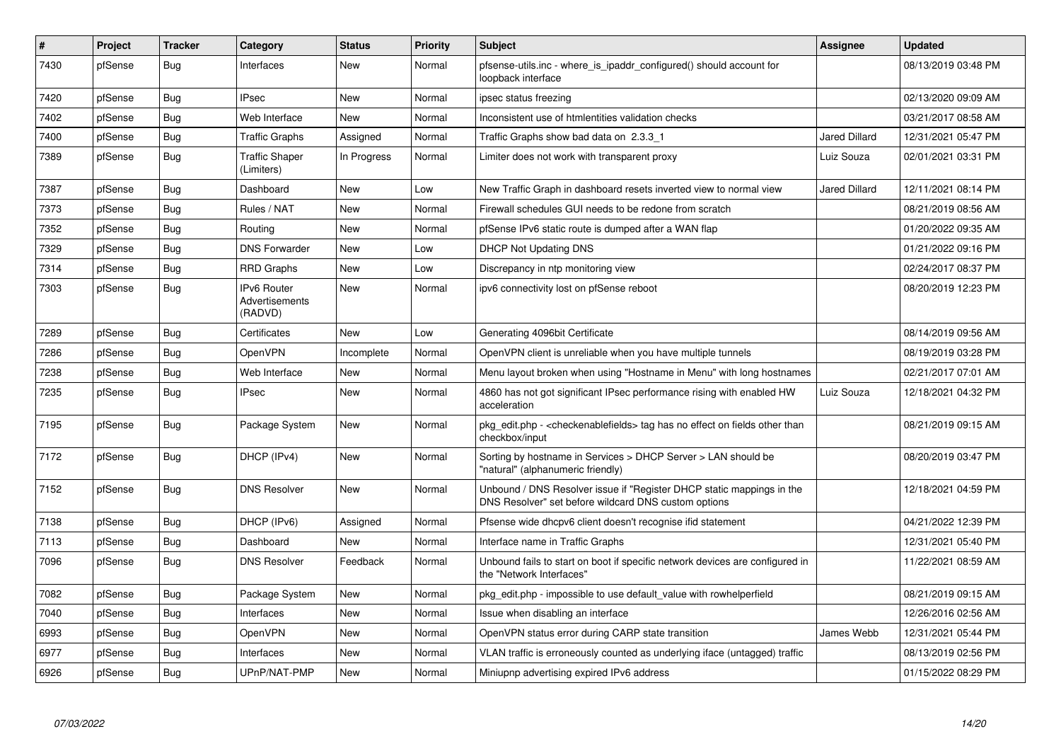| $\vert$ # | Project | <b>Tracker</b> | Category                                        | <b>Status</b> | <b>Priority</b> | <b>Subject</b>                                                                                                                | Assignee             | <b>Updated</b>      |
|-----------|---------|----------------|-------------------------------------------------|---------------|-----------------|-------------------------------------------------------------------------------------------------------------------------------|----------------------|---------------------|
| 7430      | pfSense | <b>Bug</b>     | Interfaces                                      | <b>New</b>    | Normal          | pfsense-utils.inc - where is ipaddr configured() should account for<br>loopback interface                                     |                      | 08/13/2019 03:48 PM |
| 7420      | pfSense | <b>Bug</b>     | <b>IPsec</b>                                    | <b>New</b>    | Normal          | ipsec status freezing                                                                                                         |                      | 02/13/2020 09:09 AM |
| 7402      | pfSense | <b>Bug</b>     | Web Interface                                   | <b>New</b>    | Normal          | Inconsistent use of htmlentities validation checks                                                                            |                      | 03/21/2017 08:58 AM |
| 7400      | pfSense | Bug            | <b>Traffic Graphs</b>                           | Assigned      | Normal          | Traffic Graphs show bad data on 2.3.3 1                                                                                       | <b>Jared Dillard</b> | 12/31/2021 05:47 PM |
| 7389      | pfSense | <b>Bug</b>     | <b>Traffic Shaper</b><br>(Limiters)             | In Progress   | Normal          | Limiter does not work with transparent proxy                                                                                  | Luiz Souza           | 02/01/2021 03:31 PM |
| 7387      | pfSense | Bug            | Dashboard                                       | <b>New</b>    | Low             | New Traffic Graph in dashboard resets inverted view to normal view                                                            | <b>Jared Dillard</b> | 12/11/2021 08:14 PM |
| 7373      | pfSense | <b>Bug</b>     | Rules / NAT                                     | <b>New</b>    | Normal          | Firewall schedules GUI needs to be redone from scratch                                                                        |                      | 08/21/2019 08:56 AM |
| 7352      | pfSense | <b>Bug</b>     | Routing                                         | New           | Normal          | pfSense IPv6 static route is dumped after a WAN flap                                                                          |                      | 01/20/2022 09:35 AM |
| 7329      | pfSense | <b>Bug</b>     | <b>DNS Forwarder</b>                            | New           | Low             | <b>DHCP Not Updating DNS</b>                                                                                                  |                      | 01/21/2022 09:16 PM |
| 7314      | pfSense | Bug            | <b>RRD Graphs</b>                               | New           | Low             | Discrepancy in ntp monitoring view                                                                                            |                      | 02/24/2017 08:37 PM |
| 7303      | pfSense | <b>Bug</b>     | <b>IPv6 Router</b><br>Advertisements<br>(RADVD) | New           | Normal          | ipv6 connectivity lost on pfSense reboot                                                                                      |                      | 08/20/2019 12:23 PM |
| 7289      | pfSense | <b>Bug</b>     | Certificates                                    | New           | Low             | Generating 4096bit Certificate                                                                                                |                      | 08/14/2019 09:56 AM |
| 7286      | pfSense | Bug            | <b>OpenVPN</b>                                  | Incomplete    | Normal          | OpenVPN client is unreliable when you have multiple tunnels                                                                   |                      | 08/19/2019 03:28 PM |
| 7238      | pfSense | <b>Bug</b>     | Web Interface                                   | New           | Normal          | Menu layout broken when using "Hostname in Menu" with long hostnames                                                          |                      | 02/21/2017 07:01 AM |
| 7235      | pfSense | <b>Bug</b>     | <b>IPsec</b>                                    | New           | Normal          | 4860 has not got significant IPsec performance rising with enabled HW<br>acceleration                                         | Luiz Souza           | 12/18/2021 04:32 PM |
| 7195      | pfSense | <b>Bug</b>     | Package System                                  | New           | Normal          | pkg_edit.php - <checkenablefields> tag has no effect on fields other than<br/>checkbox/input</checkenablefields>              |                      | 08/21/2019 09:15 AM |
| 7172      | pfSense | Bug            | DHCP (IPv4)                                     | New           | Normal          | Sorting by hostname in Services > DHCP Server > LAN should be<br>"natural" (alphanumeric friendly)                            |                      | 08/20/2019 03:47 PM |
| 7152      | pfSense | <b>Bug</b>     | <b>DNS Resolver</b>                             | <b>New</b>    | Normal          | Unbound / DNS Resolver issue if "Register DHCP static mappings in the<br>DNS Resolver" set before wildcard DNS custom options |                      | 12/18/2021 04:59 PM |
| 7138      | pfSense | <b>Bug</b>     | DHCP (IPv6)                                     | Assigned      | Normal          | Pfsense wide dhcpv6 client doesn't recognise ifid statement                                                                   |                      | 04/21/2022 12:39 PM |
| 7113      | pfSense | <b>Bug</b>     | Dashboard                                       | <b>New</b>    | Normal          | Interface name in Traffic Graphs                                                                                              |                      | 12/31/2021 05:40 PM |
| 7096      | pfSense | Bug            | <b>DNS Resolver</b>                             | Feedback      | Normal          | Unbound fails to start on boot if specific network devices are configured in<br>the "Network Interfaces"                      |                      | 11/22/2021 08:59 AM |
| 7082      | pfSense | <b>Bug</b>     | Package System                                  | New           | Normal          | pkg edit.php - impossible to use default value with rowhelperfield                                                            |                      | 08/21/2019 09:15 AM |
| 7040      | pfSense | <b>Bug</b>     | Interfaces                                      | New           | Normal          | Issue when disabling an interface                                                                                             |                      | 12/26/2016 02:56 AM |
| 6993      | pfSense | <b>Bug</b>     | <b>OpenVPN</b>                                  | New           | Normal          | OpenVPN status error during CARP state transition                                                                             | James Webb           | 12/31/2021 05:44 PM |
| 6977      | pfSense | Bug            | Interfaces                                      | New           | Normal          | VLAN traffic is erroneously counted as underlying iface (untagged) traffic                                                    |                      | 08/13/2019 02:56 PM |
| 6926      | pfSense | <b>Bug</b>     | UPnP/NAT-PMP                                    | <b>New</b>    | Normal          | Miniupnp advertising expired IPv6 address                                                                                     |                      | 01/15/2022 08:29 PM |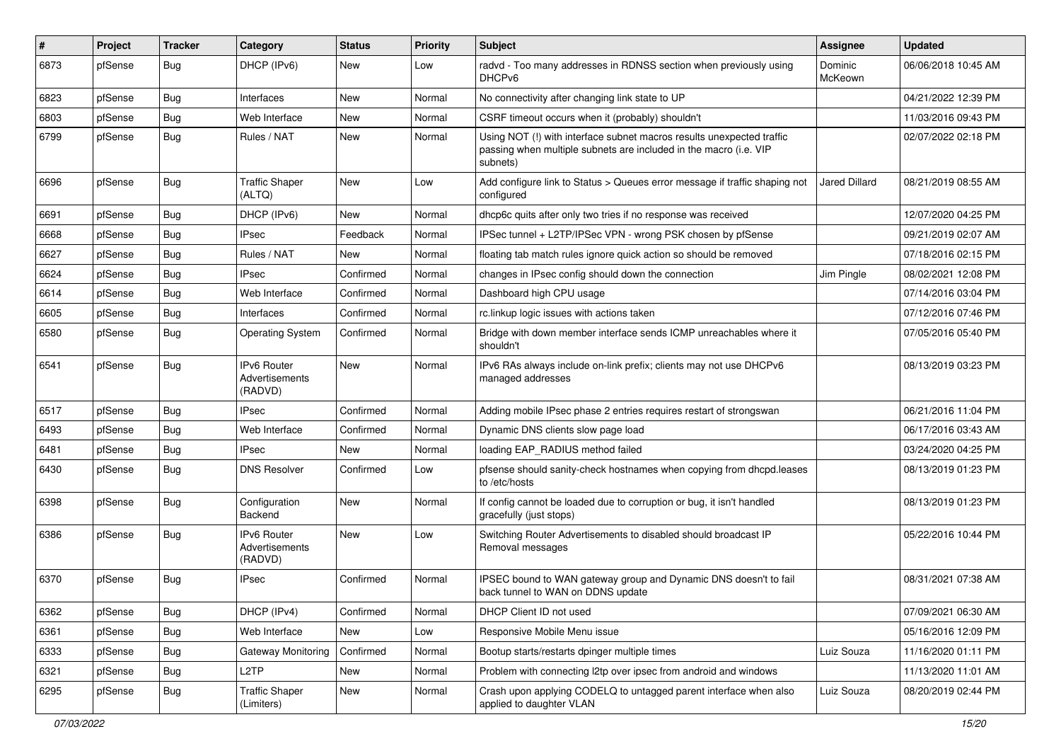| $\#$ | Project | <b>Tracker</b> | Category                                        | <b>Status</b> | <b>Priority</b> | <b>Subject</b>                                                                                                                                         | Assignee             | <b>Updated</b>      |
|------|---------|----------------|-------------------------------------------------|---------------|-----------------|--------------------------------------------------------------------------------------------------------------------------------------------------------|----------------------|---------------------|
| 6873 | pfSense | Bug            | DHCP (IPv6)                                     | New           | Low             | radvd - Too many addresses in RDNSS section when previously using<br>DHCP <sub>v6</sub>                                                                | Dominic<br>McKeown   | 06/06/2018 10:45 AM |
| 6823 | pfSense | Bug            | Interfaces                                      | New           | Normal          | No connectivity after changing link state to UP                                                                                                        |                      | 04/21/2022 12:39 PM |
| 6803 | pfSense | <b>Bug</b>     | Web Interface                                   | New           | Normal          | CSRF timeout occurs when it (probably) shouldn't                                                                                                       |                      | 11/03/2016 09:43 PM |
| 6799 | pfSense | <b>Bug</b>     | Rules / NAT                                     | New           | Normal          | Using NOT (!) with interface subnet macros results unexpected traffic<br>passing when multiple subnets are included in the macro (i.e. VIP<br>subnets) |                      | 02/07/2022 02:18 PM |
| 6696 | pfSense | Bug            | <b>Traffic Shaper</b><br>(ALTQ)                 | New           | Low             | Add configure link to Status > Queues error message if traffic shaping not<br>configured                                                               | <b>Jared Dillard</b> | 08/21/2019 08:55 AM |
| 6691 | pfSense | Bug            | DHCP (IPv6)                                     | New           | Normal          | dhcp6c quits after only two tries if no response was received                                                                                          |                      | 12/07/2020 04:25 PM |
| 6668 | pfSense | Bug            | <b>IPsec</b>                                    | Feedback      | Normal          | IPSec tunnel + L2TP/IPSec VPN - wrong PSK chosen by pfSense                                                                                            |                      | 09/21/2019 02:07 AM |
| 6627 | pfSense | Bug            | Rules / NAT                                     | New           | Normal          | floating tab match rules ignore quick action so should be removed                                                                                      |                      | 07/18/2016 02:15 PM |
| 6624 | pfSense | Bug            | <b>IPsec</b>                                    | Confirmed     | Normal          | changes in IPsec config should down the connection                                                                                                     | Jim Pingle           | 08/02/2021 12:08 PM |
| 6614 | pfSense | Bug            | Web Interface                                   | Confirmed     | Normal          | Dashboard high CPU usage                                                                                                                               |                      | 07/14/2016 03:04 PM |
| 6605 | pfSense | <b>Bug</b>     | Interfaces                                      | Confirmed     | Normal          | rc.linkup logic issues with actions taken                                                                                                              |                      | 07/12/2016 07:46 PM |
| 6580 | pfSense | <b>Bug</b>     | <b>Operating System</b>                         | Confirmed     | Normal          | Bridge with down member interface sends ICMP unreachables where it<br>shouldn't                                                                        |                      | 07/05/2016 05:40 PM |
| 6541 | pfSense | Bug            | <b>IPv6 Router</b><br>Advertisements<br>(RADVD) | <b>New</b>    | Normal          | IPv6 RAs always include on-link prefix; clients may not use DHCPv6<br>managed addresses                                                                |                      | 08/13/2019 03:23 PM |
| 6517 | pfSense | <b>Bug</b>     | <b>IPsec</b>                                    | Confirmed     | Normal          | Adding mobile IPsec phase 2 entries requires restart of strongswan                                                                                     |                      | 06/21/2016 11:04 PM |
| 6493 | pfSense | Bug            | Web Interface                                   | Confirmed     | Normal          | Dynamic DNS clients slow page load                                                                                                                     |                      | 06/17/2016 03:43 AM |
| 6481 | pfSense | <b>Bug</b>     | <b>IPsec</b>                                    | New           | Normal          | loading EAP_RADIUS method failed                                                                                                                       |                      | 03/24/2020 04:25 PM |
| 6430 | pfSense | <b>Bug</b>     | <b>DNS Resolver</b>                             | Confirmed     | Low             | pfsense should sanity-check hostnames when copying from dhcpd.leases<br>to /etc/hosts                                                                  |                      | 08/13/2019 01:23 PM |
| 6398 | pfSense | Bug            | Configuration<br>Backend                        | New           | Normal          | If config cannot be loaded due to corruption or bug, it isn't handled<br>gracefully (just stops)                                                       |                      | 08/13/2019 01:23 PM |
| 6386 | pfSense | Bug            | <b>IPv6 Router</b><br>Advertisements<br>(RADVD) | New           | Low             | Switching Router Advertisements to disabled should broadcast IP<br>Removal messages                                                                    |                      | 05/22/2016 10:44 PM |
| 6370 | pfSense | <b>Bug</b>     | <b>IPsec</b>                                    | Confirmed     | Normal          | IPSEC bound to WAN gateway group and Dynamic DNS doesn't to fail<br>back tunnel to WAN on DDNS update                                                  |                      | 08/31/2021 07:38 AM |
| 6362 | pfSense | Bug            | DHCP (IPv4)                                     | Confirmed     | Normal          | DHCP Client ID not used                                                                                                                                |                      | 07/09/2021 06:30 AM |
| 6361 | pfSense | <b>Bug</b>     | Web Interface                                   | New           | Low             | Responsive Mobile Menu issue                                                                                                                           |                      | 05/16/2016 12:09 PM |
| 6333 | pfSense | <b>Bug</b>     | Gateway Monitoring                              | Confirmed     | Normal          | Bootup starts/restarts dpinger multiple times                                                                                                          | Luiz Souza           | 11/16/2020 01:11 PM |
| 6321 | pfSense | <b>Bug</b>     | L2TP                                            | New           | Normal          | Problem with connecting I2tp over ipsec from android and windows                                                                                       |                      | 11/13/2020 11:01 AM |
| 6295 | pfSense | <b>Bug</b>     | <b>Traffic Shaper</b><br>(Limiters)             | New           | Normal          | Crash upon applying CODELQ to untagged parent interface when also<br>applied to daughter VLAN                                                          | Luiz Souza           | 08/20/2019 02:44 PM |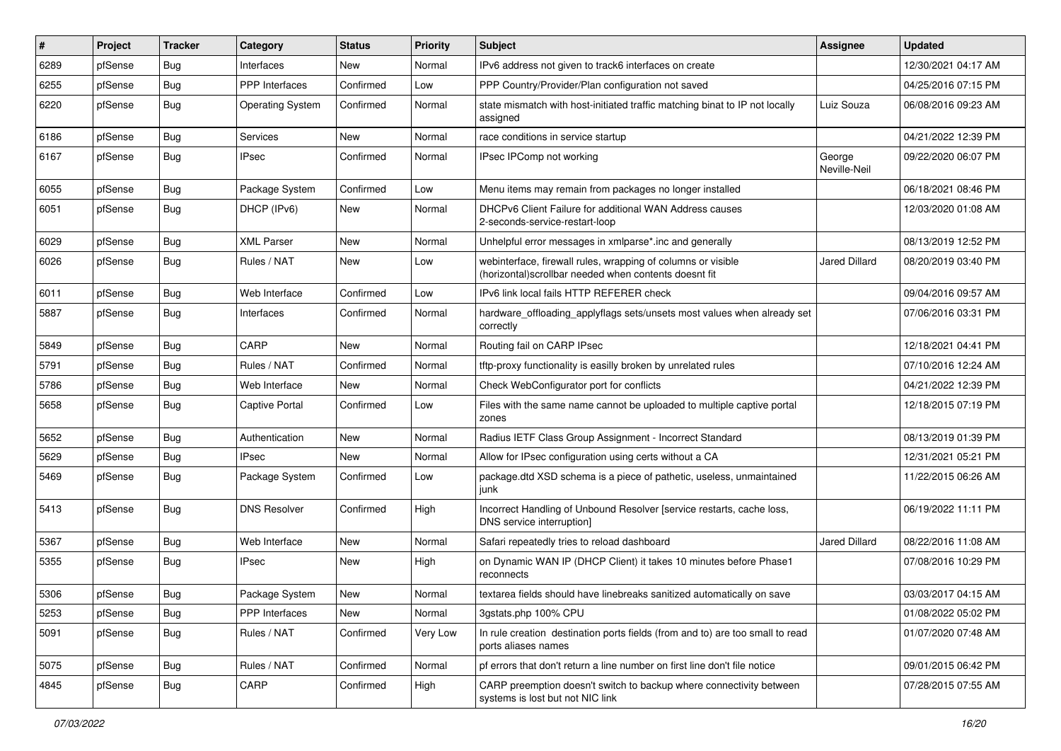| $\vert$ # | Project | <b>Tracker</b> | Category                | <b>Status</b> | <b>Priority</b> | <b>Subject</b>                                                                                                         | <b>Assignee</b>        | <b>Updated</b>      |
|-----------|---------|----------------|-------------------------|---------------|-----------------|------------------------------------------------------------------------------------------------------------------------|------------------------|---------------------|
| 6289      | pfSense | <b>Bug</b>     | Interfaces              | New           | Normal          | IPv6 address not given to track6 interfaces on create                                                                  |                        | 12/30/2021 04:17 AM |
| 6255      | pfSense | Bug            | <b>PPP</b> Interfaces   | Confirmed     | Low             | PPP Country/Provider/Plan configuration not saved                                                                      |                        | 04/25/2016 07:15 PM |
| 6220      | pfSense | Bug            | <b>Operating System</b> | Confirmed     | Normal          | state mismatch with host-initiated traffic matching binat to IP not locally<br>assigned                                | Luiz Souza             | 06/08/2016 09:23 AM |
| 6186      | pfSense | <b>Bug</b>     | Services                | New           | Normal          | race conditions in service startup                                                                                     |                        | 04/21/2022 12:39 PM |
| 6167      | pfSense | Bug            | <b>IPsec</b>            | Confirmed     | Normal          | IPsec IPComp not working                                                                                               | George<br>Neville-Neil | 09/22/2020 06:07 PM |
| 6055      | pfSense | Bug            | Package System          | Confirmed     | Low             | Menu items may remain from packages no longer installed                                                                |                        | 06/18/2021 08:46 PM |
| 6051      | pfSense | <b>Bug</b>     | DHCP (IPv6)             | New           | Normal          | DHCPv6 Client Failure for additional WAN Address causes<br>2-seconds-service-restart-loop                              |                        | 12/03/2020 01:08 AM |
| 6029      | pfSense | <b>Bug</b>     | <b>XML Parser</b>       | New           | Normal          | Unhelpful error messages in xmlparse*.inc and generally                                                                |                        | 08/13/2019 12:52 PM |
| 6026      | pfSense | Bug            | Rules / NAT             | New           | Low             | webinterface, firewall rules, wrapping of columns or visible<br>(horizontal) scrollbar needed when contents doesnt fit | <b>Jared Dillard</b>   | 08/20/2019 03:40 PM |
| 6011      | pfSense | Bug            | Web Interface           | Confirmed     | Low             | IPv6 link local fails HTTP REFERER check                                                                               |                        | 09/04/2016 09:57 AM |
| 5887      | pfSense | <b>Bug</b>     | Interfaces              | Confirmed     | Normal          | hardware_offloading_applyflags sets/unsets most values when already set<br>correctly                                   |                        | 07/06/2016 03:31 PM |
| 5849      | pfSense | Bug            | CARP                    | <b>New</b>    | Normal          | Routing fail on CARP IPsec                                                                                             |                        | 12/18/2021 04:41 PM |
| 5791      | pfSense | Bug            | Rules / NAT             | Confirmed     | Normal          | tftp-proxy functionality is easilly broken by unrelated rules                                                          |                        | 07/10/2016 12:24 AM |
| 5786      | pfSense | <b>Bug</b>     | Web Interface           | <b>New</b>    | Normal          | Check WebConfigurator port for conflicts                                                                               |                        | 04/21/2022 12:39 PM |
| 5658      | pfSense | Bug            | Captive Portal          | Confirmed     | Low             | Files with the same name cannot be uploaded to multiple captive portal<br>zones                                        |                        | 12/18/2015 07:19 PM |
| 5652      | pfSense | Bug            | Authentication          | New           | Normal          | Radius IETF Class Group Assignment - Incorrect Standard                                                                |                        | 08/13/2019 01:39 PM |
| 5629      | pfSense | <b>Bug</b>     | <b>IPsec</b>            | <b>New</b>    | Normal          | Allow for IPsec configuration using certs without a CA                                                                 |                        | 12/31/2021 05:21 PM |
| 5469      | pfSense | Bug            | Package System          | Confirmed     | Low             | package.dtd XSD schema is a piece of pathetic, useless, unmaintained<br>junk                                           |                        | 11/22/2015 06:26 AM |
| 5413      | pfSense | Bug            | <b>DNS Resolver</b>     | Confirmed     | High            | Incorrect Handling of Unbound Resolver [service restarts, cache loss,<br>DNS service interruption]                     |                        | 06/19/2022 11:11 PM |
| 5367      | pfSense | Bug            | Web Interface           | New           | Normal          | Safari repeatedly tries to reload dashboard                                                                            | Jared Dillard          | 08/22/2016 11:08 AM |
| 5355      | pfSense | <b>Bug</b>     | <b>IPsec</b>            | New           | High            | on Dynamic WAN IP (DHCP Client) it takes 10 minutes before Phase1<br>reconnects                                        |                        | 07/08/2016 10:29 PM |
| 5306      | pfSense | Bug            | Package System          | New           | Normal          | textarea fields should have linebreaks sanitized automatically on save                                                 |                        | 03/03/2017 04:15 AM |
| 5253      | pfSense | <b>Bug</b>     | PPP Interfaces          | New           | Normal          | 3gstats.php 100% CPU                                                                                                   |                        | 01/08/2022 05:02 PM |
| 5091      | pfSense | <b>Bug</b>     | Rules / NAT             | Confirmed     | Very Low        | In rule creation destination ports fields (from and to) are too small to read<br>ports aliases names                   |                        | 01/07/2020 07:48 AM |
| 5075      | pfSense | <b>Bug</b>     | Rules / NAT             | Confirmed     | Normal          | pf errors that don't return a line number on first line don't file notice                                              |                        | 09/01/2015 06:42 PM |
| 4845      | pfSense | <b>Bug</b>     | CARP                    | Confirmed     | High            | CARP preemption doesn't switch to backup where connectivity between<br>systems is lost but not NIC link                |                        | 07/28/2015 07:55 AM |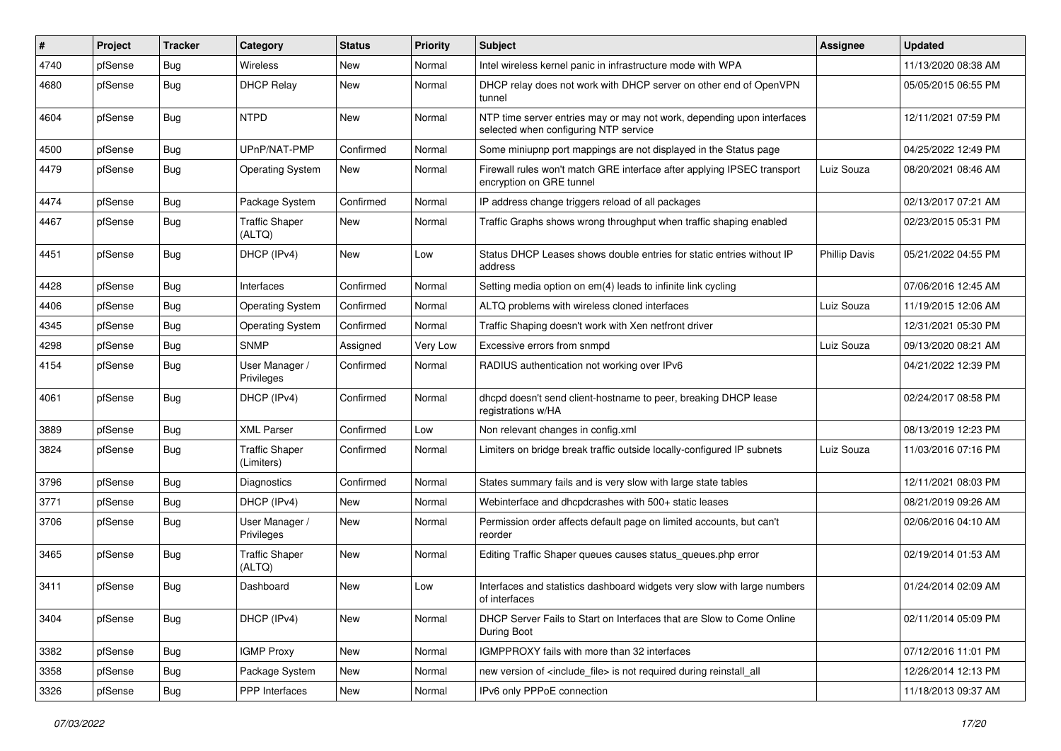| #    | Project | <b>Tracker</b> | Category                            | <b>Status</b> | <b>Priority</b> | Subject                                                                                                         | <b>Assignee</b>      | <b>Updated</b>      |
|------|---------|----------------|-------------------------------------|---------------|-----------------|-----------------------------------------------------------------------------------------------------------------|----------------------|---------------------|
| 4740 | pfSense | <b>Bug</b>     | Wireless                            | New           | Normal          | Intel wireless kernel panic in infrastructure mode with WPA                                                     |                      | 11/13/2020 08:38 AM |
| 4680 | pfSense | Bug            | <b>DHCP Relay</b>                   | New           | Normal          | DHCP relay does not work with DHCP server on other end of OpenVPN<br>tunnel                                     |                      | 05/05/2015 06:55 PM |
| 4604 | pfSense | <b>Bug</b>     | <b>NTPD</b>                         | New           | Normal          | NTP time server entries may or may not work, depending upon interfaces<br>selected when configuring NTP service |                      | 12/11/2021 07:59 PM |
| 4500 | pfSense | Bug            | UPnP/NAT-PMP                        | Confirmed     | Normal          | Some miniupnp port mappings are not displayed in the Status page                                                |                      | 04/25/2022 12:49 PM |
| 4479 | pfSense | <b>Bug</b>     | <b>Operating System</b>             | New           | Normal          | Firewall rules won't match GRE interface after applying IPSEC transport<br>encryption on GRE tunnel             | Luiz Souza           | 08/20/2021 08:46 AM |
| 4474 | pfSense | Bug            | Package System                      | Confirmed     | Normal          | IP address change triggers reload of all packages                                                               |                      | 02/13/2017 07:21 AM |
| 4467 | pfSense | <b>Bug</b>     | <b>Traffic Shaper</b><br>(ALTQ)     | New           | Normal          | Traffic Graphs shows wrong throughput when traffic shaping enabled                                              |                      | 02/23/2015 05:31 PM |
| 4451 | pfSense | <b>Bug</b>     | DHCP (IPv4)                         | New           | Low             | Status DHCP Leases shows double entries for static entries without IP<br>address                                | <b>Phillip Davis</b> | 05/21/2022 04:55 PM |
| 4428 | pfSense | Bug            | Interfaces                          | Confirmed     | Normal          | Setting media option on em(4) leads to infinite link cycling                                                    |                      | 07/06/2016 12:45 AM |
| 4406 | pfSense | Bug            | <b>Operating System</b>             | Confirmed     | Normal          | ALTQ problems with wireless cloned interfaces                                                                   | Luiz Souza           | 11/19/2015 12:06 AM |
| 4345 | pfSense | Bug            | <b>Operating System</b>             | Confirmed     | Normal          | Traffic Shaping doesn't work with Xen netfront driver                                                           |                      | 12/31/2021 05:30 PM |
| 4298 | pfSense | <b>Bug</b>     | <b>SNMP</b>                         | Assigned      | Very Low        | Excessive errors from snmpd                                                                                     | Luiz Souza           | 09/13/2020 08:21 AM |
| 4154 | pfSense | <b>Bug</b>     | User Manager /<br>Privileges        | Confirmed     | Normal          | RADIUS authentication not working over IPv6                                                                     |                      | 04/21/2022 12:39 PM |
| 4061 | pfSense | Bug            | DHCP (IPv4)                         | Confirmed     | Normal          | dhcpd doesn't send client-hostname to peer, breaking DHCP lease<br>registrations w/HA                           |                      | 02/24/2017 08:58 PM |
| 3889 | pfSense | Bug            | <b>XML Parser</b>                   | Confirmed     | Low             | Non relevant changes in config.xml                                                                              |                      | 08/13/2019 12:23 PM |
| 3824 | pfSense | Bug            | <b>Traffic Shaper</b><br>(Limiters) | Confirmed     | Normal          | Limiters on bridge break traffic outside locally-configured IP subnets                                          | Luiz Souza           | 11/03/2016 07:16 PM |
| 3796 | pfSense | Bug            | Diagnostics                         | Confirmed     | Normal          | States summary fails and is very slow with large state tables                                                   |                      | 12/11/2021 08:03 PM |
| 3771 | pfSense | <b>Bug</b>     | DHCP (IPv4)                         | New           | Normal          | Webinterface and dhcpdcrashes with 500+ static leases                                                           |                      | 08/21/2019 09:26 AM |
| 3706 | pfSense | Bug            | User Manager /<br>Privileges        | New           | Normal          | Permission order affects default page on limited accounts, but can't<br>reorder                                 |                      | 02/06/2016 04:10 AM |
| 3465 | pfSense | Bug            | <b>Traffic Shaper</b><br>(ALTQ)     | New           | Normal          | Editing Traffic Shaper queues causes status_queues.php error                                                    |                      | 02/19/2014 01:53 AM |
| 3411 | pfSense | Bug            | Dashboard                           | New           | Low             | Interfaces and statistics dashboard widgets very slow with large numbers<br>of interfaces                       |                      | 01/24/2014 02:09 AM |
| 3404 | pfSense | Bug            | DHCP (IPv4)                         | New           | Normal          | DHCP Server Fails to Start on Interfaces that are Slow to Come Online<br>During Boot                            |                      | 02/11/2014 05:09 PM |
| 3382 | pfSense | <b>Bug</b>     | <b>IGMP Proxy</b>                   | New           | Normal          | IGMPPROXY fails with more than 32 interfaces                                                                    |                      | 07/12/2016 11:01 PM |
| 3358 | pfSense | <b>Bug</b>     | Package System                      | New           | Normal          | new version of <include_file> is not required during reinstall_all</include_file>                               |                      | 12/26/2014 12:13 PM |
| 3326 | pfSense | Bug            | <b>PPP</b> Interfaces               | New           | Normal          | IPv6 only PPPoE connection                                                                                      |                      | 11/18/2013 09:37 AM |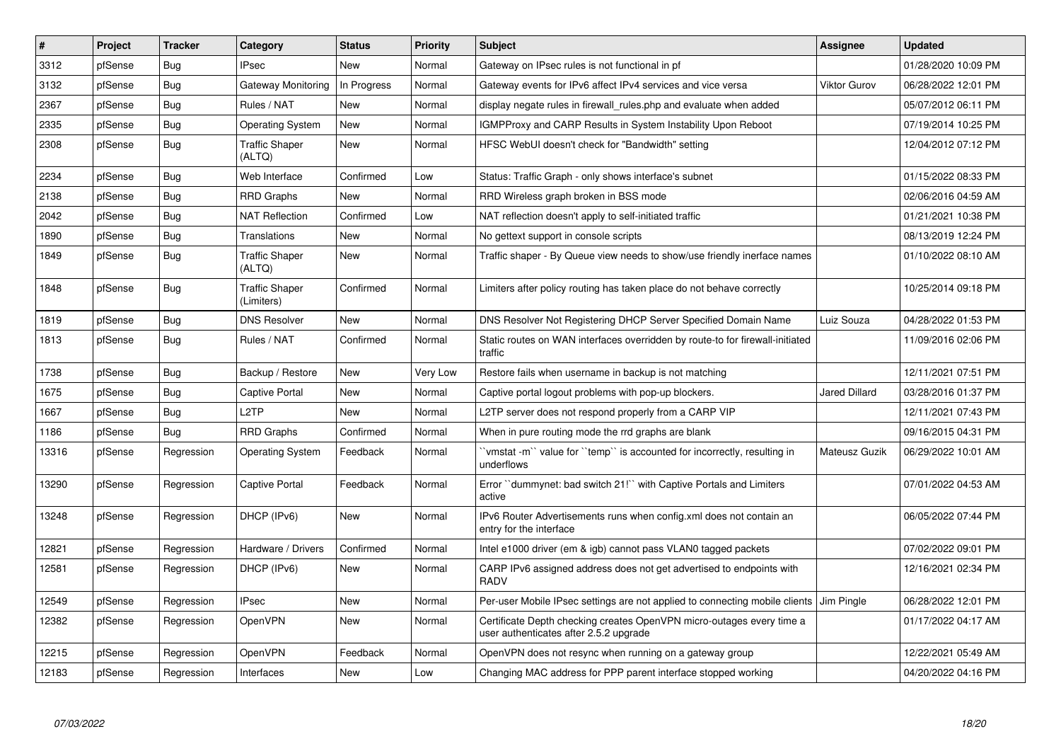| #     | Project | <b>Tracker</b> | Category                            | <b>Status</b> | <b>Priority</b> | <b>Subject</b>                                                                                                  | Assignee             | <b>Updated</b>      |
|-------|---------|----------------|-------------------------------------|---------------|-----------------|-----------------------------------------------------------------------------------------------------------------|----------------------|---------------------|
| 3312  | pfSense | Bug            | <b>IPsec</b>                        | New           | Normal          | Gateway on IPsec rules is not functional in pf                                                                  |                      | 01/28/2020 10:09 PM |
| 3132  | pfSense | <b>Bug</b>     | Gateway Monitoring                  | In Progress   | Normal          | Gateway events for IPv6 affect IPv4 services and vice versa                                                     | <b>Viktor Gurov</b>  | 06/28/2022 12:01 PM |
| 2367  | pfSense | <b>Bug</b>     | Rules / NAT                         | New           | Normal          | display negate rules in firewall rules php and evaluate when added                                              |                      | 05/07/2012 06:11 PM |
| 2335  | pfSense | Bug            | Operating System                    | <b>New</b>    | Normal          | <b>IGMPProxy and CARP Results in System Instability Upon Reboot</b>                                             |                      | 07/19/2014 10:25 PM |
| 2308  | pfSense | <b>Bug</b>     | <b>Traffic Shaper</b><br>(ALTQ)     | New           | Normal          | HFSC WebUI doesn't check for "Bandwidth" setting                                                                |                      | 12/04/2012 07:12 PM |
| 2234  | pfSense | <b>Bug</b>     | Web Interface                       | Confirmed     | Low             | Status: Traffic Graph - only shows interface's subnet                                                           |                      | 01/15/2022 08:33 PM |
| 2138  | pfSense | Bug            | <b>RRD Graphs</b>                   | <b>New</b>    | Normal          | RRD Wireless graph broken in BSS mode                                                                           |                      | 02/06/2016 04:59 AM |
| 2042  | pfSense | <b>Bug</b>     | <b>NAT Reflection</b>               | Confirmed     | Low             | NAT reflection doesn't apply to self-initiated traffic                                                          |                      | 01/21/2021 10:38 PM |
| 1890  | pfSense | <b>Bug</b>     | Translations                        | <b>New</b>    | Normal          | No gettext support in console scripts                                                                           |                      | 08/13/2019 12:24 PM |
| 1849  | pfSense | <b>Bug</b>     | <b>Traffic Shaper</b><br>(ALTQ)     | New           | Normal          | Traffic shaper - By Queue view needs to show/use friendly inerface names                                        |                      | 01/10/2022 08:10 AM |
| 1848  | pfSense | <b>Bug</b>     | <b>Traffic Shaper</b><br>(Limiters) | Confirmed     | Normal          | Limiters after policy routing has taken place do not behave correctly                                           |                      | 10/25/2014 09:18 PM |
| 1819  | pfSense | Bug            | <b>DNS Resolver</b>                 | <b>New</b>    | Normal          | DNS Resolver Not Registering DHCP Server Specified Domain Name                                                  | Luiz Souza           | 04/28/2022 01:53 PM |
| 1813  | pfSense | <b>Bug</b>     | Rules / NAT                         | Confirmed     | Normal          | Static routes on WAN interfaces overridden by route-to for firewall-initiated<br>traffic                        |                      | 11/09/2016 02:06 PM |
| 1738  | pfSense | Bug            | Backup / Restore                    | New           | Very Low        | Restore fails when username in backup is not matching                                                           |                      | 12/11/2021 07:51 PM |
| 1675  | pfSense | Bug            | Captive Portal                      | <b>New</b>    | Normal          | Captive portal logout problems with pop-up blockers.                                                            | <b>Jared Dillard</b> | 03/28/2016 01:37 PM |
| 1667  | pfSense | <b>Bug</b>     | L <sub>2</sub> TP                   | <b>New</b>    | Normal          | L2TP server does not respond properly from a CARP VIP                                                           |                      | 12/11/2021 07:43 PM |
| 1186  | pfSense | <b>Bug</b>     | <b>RRD Graphs</b>                   | Confirmed     | Normal          | When in pure routing mode the rrd graphs are blank                                                              |                      | 09/16/2015 04:31 PM |
| 13316 | pfSense | Regression     | <b>Operating System</b>             | Feedback      | Normal          | `vmstat -m`` value for ``temp`` is accounted for incorrectly, resulting in<br>underflows                        | Mateusz Guzik        | 06/29/2022 10:01 AM |
| 13290 | pfSense | Regression     | Captive Portal                      | Feedback      | Normal          | Error "dummynet: bad switch 21!" with Captive Portals and Limiters<br>active                                    |                      | 07/01/2022 04:53 AM |
| 13248 | pfSense | Regression     | DHCP (IPv6)                         | <b>New</b>    | Normal          | IPv6 Router Advertisements runs when config.xml does not contain an<br>entry for the interface                  |                      | 06/05/2022 07:44 PM |
| 12821 | pfSense | Regression     | Hardware / Drivers                  | Confirmed     | Normal          | Intel e1000 driver (em & igb) cannot pass VLAN0 tagged packets                                                  |                      | 07/02/2022 09:01 PM |
| 12581 | pfSense | Regression     | DHCP (IPv6)                         | New           | Normal          | CARP IPv6 assigned address does not get advertised to endpoints with<br><b>RADV</b>                             |                      | 12/16/2021 02:34 PM |
| 12549 | pfSense | Regression     | <b>IPsec</b>                        | New           | Normal          | Per-user Mobile IPsec settings are not applied to connecting mobile clients                                     | Jim Pingle           | 06/28/2022 12:01 PM |
| 12382 | pfSense | Regression     | OpenVPN                             | <b>New</b>    | Normal          | Certificate Depth checking creates OpenVPN micro-outages every time a<br>user authenticates after 2.5.2 upgrade |                      | 01/17/2022 04:17 AM |
| 12215 | pfSense | Regression     | OpenVPN                             | Feedback      | Normal          | OpenVPN does not resync when running on a gateway group                                                         |                      | 12/22/2021 05:49 AM |
| 12183 | pfSense | Regression     | Interfaces                          | <b>New</b>    | Low             | Changing MAC address for PPP parent interface stopped working                                                   |                      | 04/20/2022 04:16 PM |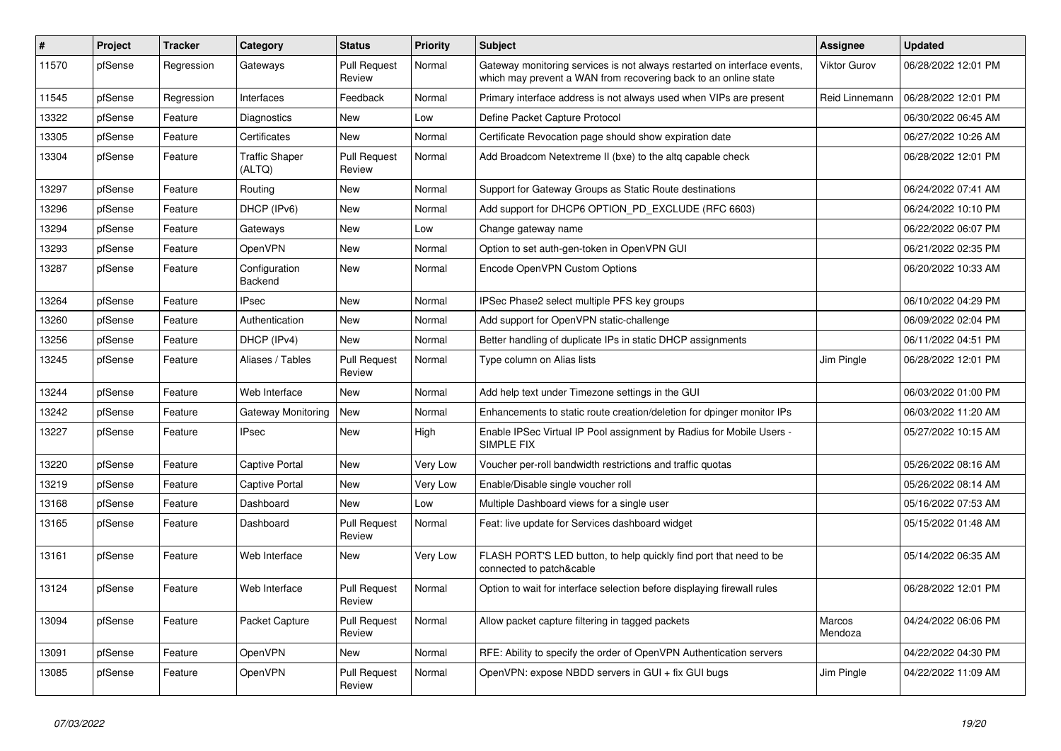| #     | Project | <b>Tracker</b> | Category                        | <b>Status</b>                 | <b>Priority</b> | Subject                                                                                                                                     | <b>Assignee</b>   | <b>Updated</b>      |
|-------|---------|----------------|---------------------------------|-------------------------------|-----------------|---------------------------------------------------------------------------------------------------------------------------------------------|-------------------|---------------------|
| 11570 | pfSense | Regression     | Gateways                        | <b>Pull Request</b><br>Review | Normal          | Gateway monitoring services is not always restarted on interface events,<br>which may prevent a WAN from recovering back to an online state | Viktor Gurov      | 06/28/2022 12:01 PM |
| 11545 | pfSense | Regression     | Interfaces                      | Feedback                      | Normal          | Primary interface address is not always used when VIPs are present                                                                          | Reid Linnemann    | 06/28/2022 12:01 PM |
| 13322 | pfSense | Feature        | Diagnostics                     | New                           | Low             | Define Packet Capture Protocol                                                                                                              |                   | 06/30/2022 06:45 AM |
| 13305 | pfSense | Feature        | Certificates                    | <b>New</b>                    | Normal          | Certificate Revocation page should show expiration date                                                                                     |                   | 06/27/2022 10:26 AM |
| 13304 | pfSense | Feature        | <b>Traffic Shaper</b><br>(ALTQ) | <b>Pull Request</b><br>Review | Normal          | Add Broadcom Netextreme II (bxe) to the altq capable check                                                                                  |                   | 06/28/2022 12:01 PM |
| 13297 | pfSense | Feature        | Routing                         | <b>New</b>                    | Normal          | Support for Gateway Groups as Static Route destinations                                                                                     |                   | 06/24/2022 07:41 AM |
| 13296 | pfSense | Feature        | DHCP (IPv6)                     | New                           | Normal          | Add support for DHCP6 OPTION_PD_EXCLUDE (RFC 6603)                                                                                          |                   | 06/24/2022 10:10 PM |
| 13294 | pfSense | Feature        | Gateways                        | New                           | Low             | Change gateway name                                                                                                                         |                   | 06/22/2022 06:07 PM |
| 13293 | pfSense | Feature        | OpenVPN                         | New                           | Normal          | Option to set auth-gen-token in OpenVPN GUI                                                                                                 |                   | 06/21/2022 02:35 PM |
| 13287 | pfSense | Feature        | Configuration<br>Backend        | New                           | Normal          | Encode OpenVPN Custom Options                                                                                                               |                   | 06/20/2022 10:33 AM |
| 13264 | pfSense | Feature        | IPsec                           | New                           | Normal          | IPSec Phase2 select multiple PFS key groups                                                                                                 |                   | 06/10/2022 04:29 PM |
| 13260 | pfSense | Feature        | Authentication                  | New                           | Normal          | Add support for OpenVPN static-challenge                                                                                                    |                   | 06/09/2022 02:04 PM |
| 13256 | pfSense | Feature        | DHCP (IPv4)                     | <b>New</b>                    | Normal          | Better handling of duplicate IPs in static DHCP assignments                                                                                 |                   | 06/11/2022 04:51 PM |
| 13245 | pfSense | Feature        | Aliases / Tables                | <b>Pull Request</b><br>Review | Normal          | Type column on Alias lists                                                                                                                  | Jim Pingle        | 06/28/2022 12:01 PM |
| 13244 | pfSense | Feature        | Web Interface                   | New                           | Normal          | Add help text under Timezone settings in the GUI                                                                                            |                   | 06/03/2022 01:00 PM |
| 13242 | pfSense | Feature        | Gateway Monitoring              | New                           | Normal          | Enhancements to static route creation/deletion for dpinger monitor IPs                                                                      |                   | 06/03/2022 11:20 AM |
| 13227 | pfSense | Feature        | <b>IPsec</b>                    | New                           | High            | Enable IPSec Virtual IP Pool assignment by Radius for Mobile Users -<br>SIMPLE FIX                                                          |                   | 05/27/2022 10:15 AM |
| 13220 | pfSense | Feature        | <b>Captive Portal</b>           | New                           | Very Low        | Voucher per-roll bandwidth restrictions and traffic quotas                                                                                  |                   | 05/26/2022 08:16 AM |
| 13219 | pfSense | Feature        | Captive Portal                  | <b>New</b>                    | Very Low        | Enable/Disable single voucher roll                                                                                                          |                   | 05/26/2022 08:14 AM |
| 13168 | pfSense | Feature        | Dashboard                       | New                           | Low             | Multiple Dashboard views for a single user                                                                                                  |                   | 05/16/2022 07:53 AM |
| 13165 | pfSense | Feature        | Dashboard                       | <b>Pull Request</b><br>Review | Normal          | Feat: live update for Services dashboard widget                                                                                             |                   | 05/15/2022 01:48 AM |
| 13161 | pfSense | Feature        | Web Interface                   | New                           | Very Low        | FLASH PORT'S LED button, to help quickly find port that need to be<br>connected to patch&cable                                              |                   | 05/14/2022 06:35 AM |
| 13124 | pfSense | Feature        | Web Interface                   | <b>Pull Request</b><br>Review | Normal          | Option to wait for interface selection before displaying firewall rules                                                                     |                   | 06/28/2022 12:01 PM |
| 13094 | pfSense | Feature        | Packet Capture                  | <b>Pull Request</b><br>Review | Normal          | Allow packet capture filtering in tagged packets                                                                                            | Marcos<br>Mendoza | 04/24/2022 06:06 PM |
| 13091 | pfSense | Feature        | OpenVPN                         | New                           | Normal          | RFE: Ability to specify the order of OpenVPN Authentication servers                                                                         |                   | 04/22/2022 04:30 PM |
| 13085 | pfSense | Feature        | OpenVPN                         | <b>Pull Request</b><br>Review | Normal          | OpenVPN: expose NBDD servers in GUI + fix GUI bugs                                                                                          | Jim Pingle        | 04/22/2022 11:09 AM |